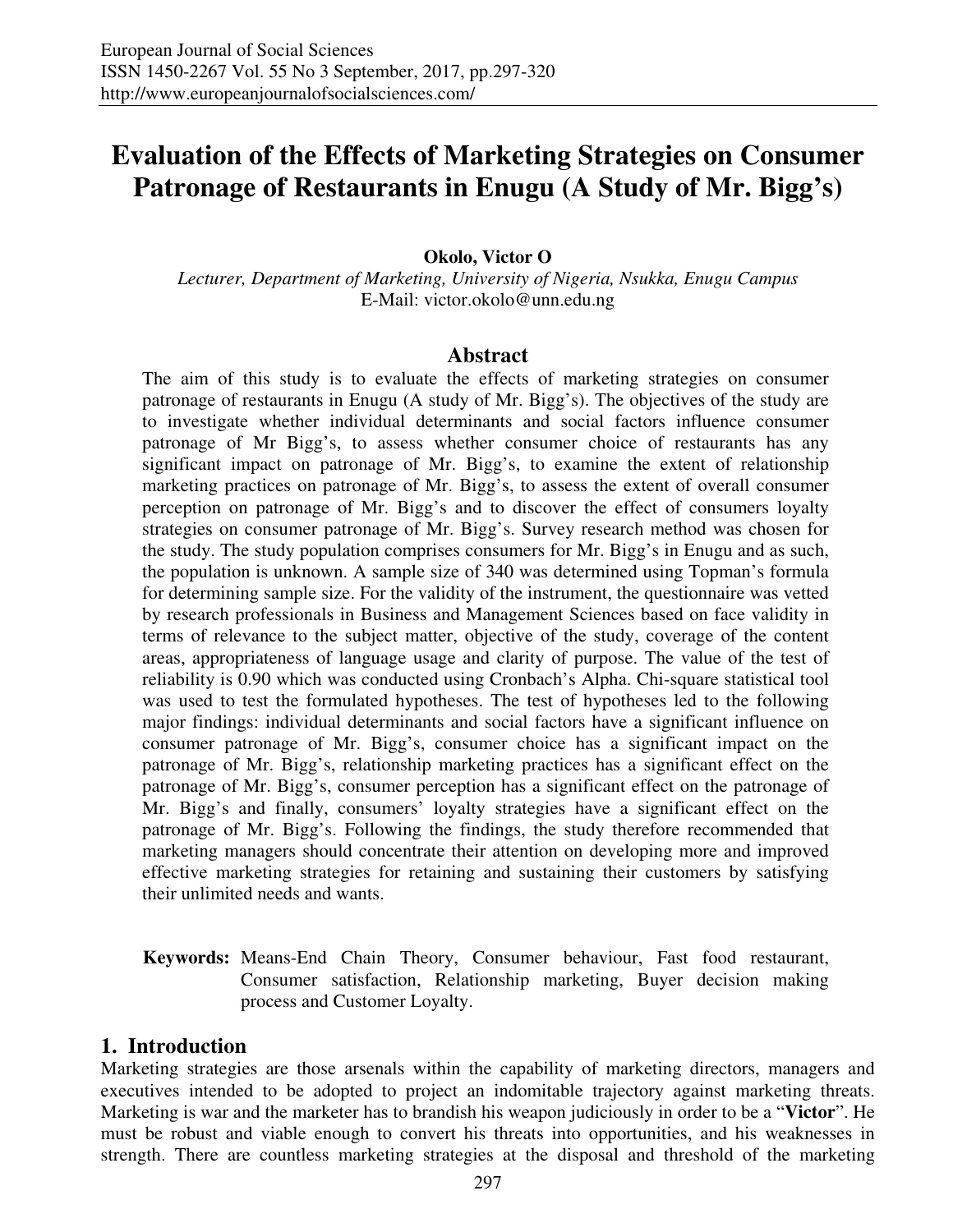# **Evaluation of the Effects of Marketing Strategies on Consumer Patronage of Restaurants in Enugu (A Study of Mr. Bigg's)**

#### **Okolo, Victor O**

*Lecturer, Department of Marketing, University of Nigeria, Nsukka, Enugu Campus*  E-Mail: victor.okolo@unn.edu.ng

#### **Abstract**

The aim of this study is to evaluate the effects of marketing strategies on consumer patronage of restaurants in Enugu (A study of Mr. Bigg's). The objectives of the study are to investigate whether individual determinants and social factors influence consumer patronage of Mr Bigg's, to assess whether consumer choice of restaurants has any significant impact on patronage of Mr. Bigg's, to examine the extent of relationship marketing practices on patronage of Mr. Bigg's, to assess the extent of overall consumer perception on patronage of Mr. Bigg's and to discover the effect of consumers loyalty strategies on consumer patronage of Mr. Bigg's. Survey research method was chosen for the study. The study population comprises consumers for Mr. Bigg's in Enugu and as such, the population is unknown. A sample size of 340 was determined using Topman's formula for determining sample size. For the validity of the instrument, the questionnaire was vetted by research professionals in Business and Management Sciences based on face validity in terms of relevance to the subject matter, objective of the study, coverage of the content areas, appropriateness of language usage and clarity of purpose. The value of the test of reliability is 0.90 which was conducted using Cronbach's Alpha. Chi-square statistical tool was used to test the formulated hypotheses. The test of hypotheses led to the following major findings: individual determinants and social factors have a significant influence on consumer patronage of Mr. Bigg's, consumer choice has a significant impact on the patronage of Mr. Bigg's, relationship marketing practices has a significant effect on the patronage of Mr. Bigg's, consumer perception has a significant effect on the patronage of Mr. Bigg's and finally, consumers' loyalty strategies have a significant effect on the patronage of Mr. Bigg's. Following the findings, the study therefore recommended that marketing managers should concentrate their attention on developing more and improved effective marketing strategies for retaining and sustaining their customers by satisfying their unlimited needs and wants.

**Keywords:** Means-End Chain Theory, Consumer behaviour, Fast food restaurant, Consumer satisfaction, Relationship marketing, Buyer decision making process and Customer Loyalty.

# **1. Introduction**

Marketing strategies are those arsenals within the capability of marketing directors, managers and executives intended to be adopted to project an indomitable trajectory against marketing threats. Marketing is war and the marketer has to brandish his weapon judiciously in order to be a "**Victor**". He must be robust and viable enough to convert his threats into opportunities, and his weaknesses in strength. There are countless marketing strategies at the disposal and threshold of the marketing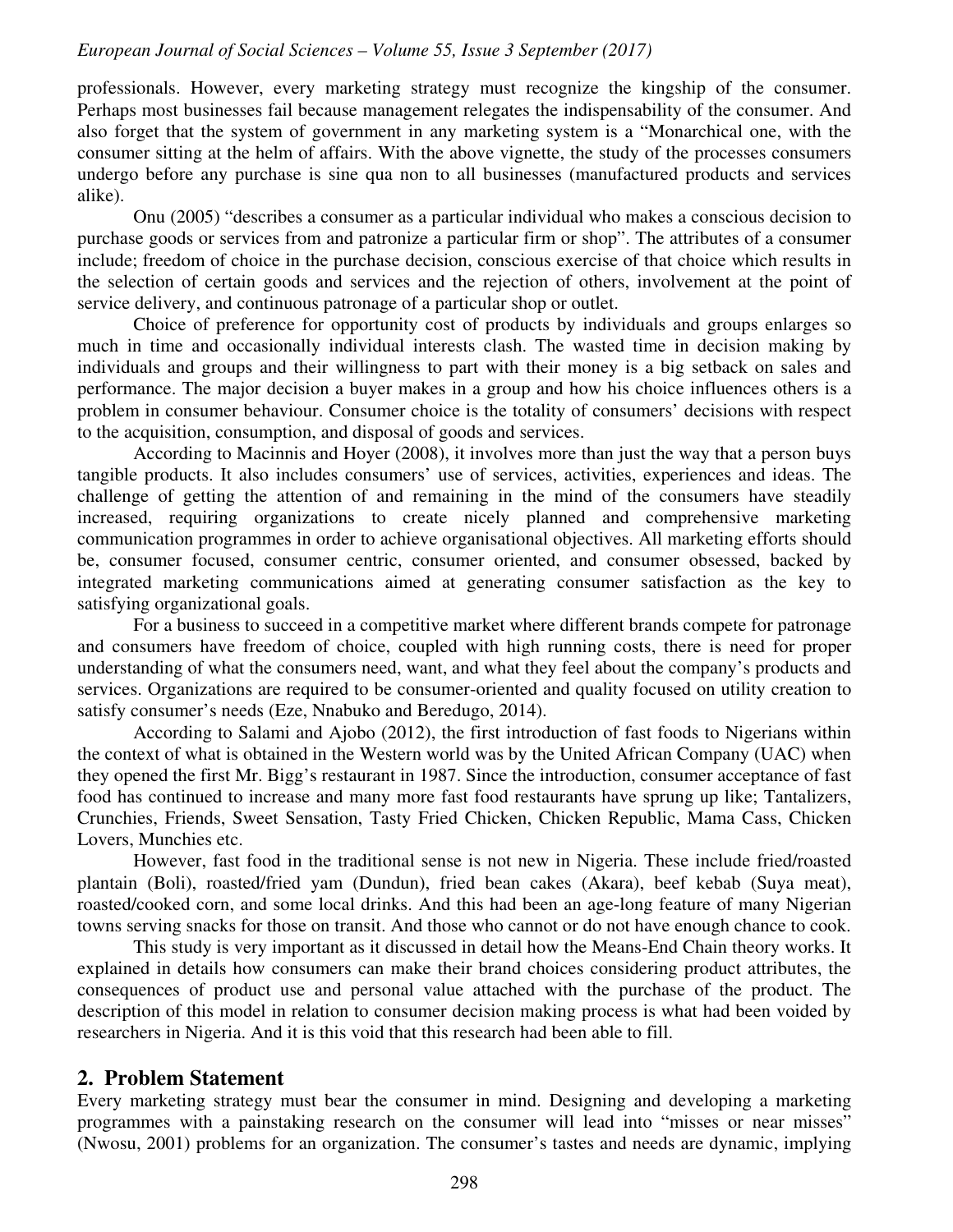professionals. However, every marketing strategy must recognize the kingship of the consumer. Perhaps most businesses fail because management relegates the indispensability of the consumer. And also forget that the system of government in any marketing system is a "Monarchical one, with the consumer sitting at the helm of affairs. With the above vignette, the study of the processes consumers undergo before any purchase is sine qua non to all businesses (manufactured products and services alike).

Onu (2005) "describes a consumer as a particular individual who makes a conscious decision to purchase goods or services from and patronize a particular firm or shop". The attributes of a consumer include; freedom of choice in the purchase decision, conscious exercise of that choice which results in the selection of certain goods and services and the rejection of others, involvement at the point of service delivery, and continuous patronage of a particular shop or outlet.

Choice of preference for opportunity cost of products by individuals and groups enlarges so much in time and occasionally individual interests clash. The wasted time in decision making by individuals and groups and their willingness to part with their money is a big setback on sales and performance. The major decision a buyer makes in a group and how his choice influences others is a problem in consumer behaviour. Consumer choice is the totality of consumers' decisions with respect to the acquisition, consumption, and disposal of goods and services.

According to Macinnis and Hoyer (2008), it involves more than just the way that a person buys tangible products. It also includes consumers' use of services, activities, experiences and ideas. The challenge of getting the attention of and remaining in the mind of the consumers have steadily increased, requiring organizations to create nicely planned and comprehensive marketing communication programmes in order to achieve organisational objectives. All marketing efforts should be, consumer focused, consumer centric, consumer oriented, and consumer obsessed, backed by integrated marketing communications aimed at generating consumer satisfaction as the key to satisfying organizational goals.

For a business to succeed in a competitive market where different brands compete for patronage and consumers have freedom of choice, coupled with high running costs, there is need for proper understanding of what the consumers need, want, and what they feel about the company's products and services. Organizations are required to be consumer-oriented and quality focused on utility creation to satisfy consumer's needs (Eze, Nnabuko and Beredugo, 2014).

According to Salami and Ajobo (2012), the first introduction of fast foods to Nigerians within the context of what is obtained in the Western world was by the United African Company (UAC) when they opened the first Mr. Bigg's restaurant in 1987. Since the introduction, consumer acceptance of fast food has continued to increase and many more fast food restaurants have sprung up like; Tantalizers, Crunchies, Friends, Sweet Sensation, Tasty Fried Chicken, Chicken Republic, Mama Cass, Chicken Lovers, Munchies etc.

However, fast food in the traditional sense is not new in Nigeria. These include fried/roasted plantain (Boli), roasted/fried yam (Dundun), fried bean cakes (Akara), beef kebab (Suya meat), roasted/cooked corn, and some local drinks. And this had been an age-long feature of many Nigerian towns serving snacks for those on transit. And those who cannot or do not have enough chance to cook.

This study is very important as it discussed in detail how the Means-End Chain theory works. It explained in details how consumers can make their brand choices considering product attributes, the consequences of product use and personal value attached with the purchase of the product. The description of this model in relation to consumer decision making process is what had been voided by researchers in Nigeria. And it is this void that this research had been able to fill.

#### **2. Problem Statement**

Every marketing strategy must bear the consumer in mind. Designing and developing a marketing programmes with a painstaking research on the consumer will lead into "misses or near misses" (Nwosu, 2001) problems for an organization. The consumer's tastes and needs are dynamic, implying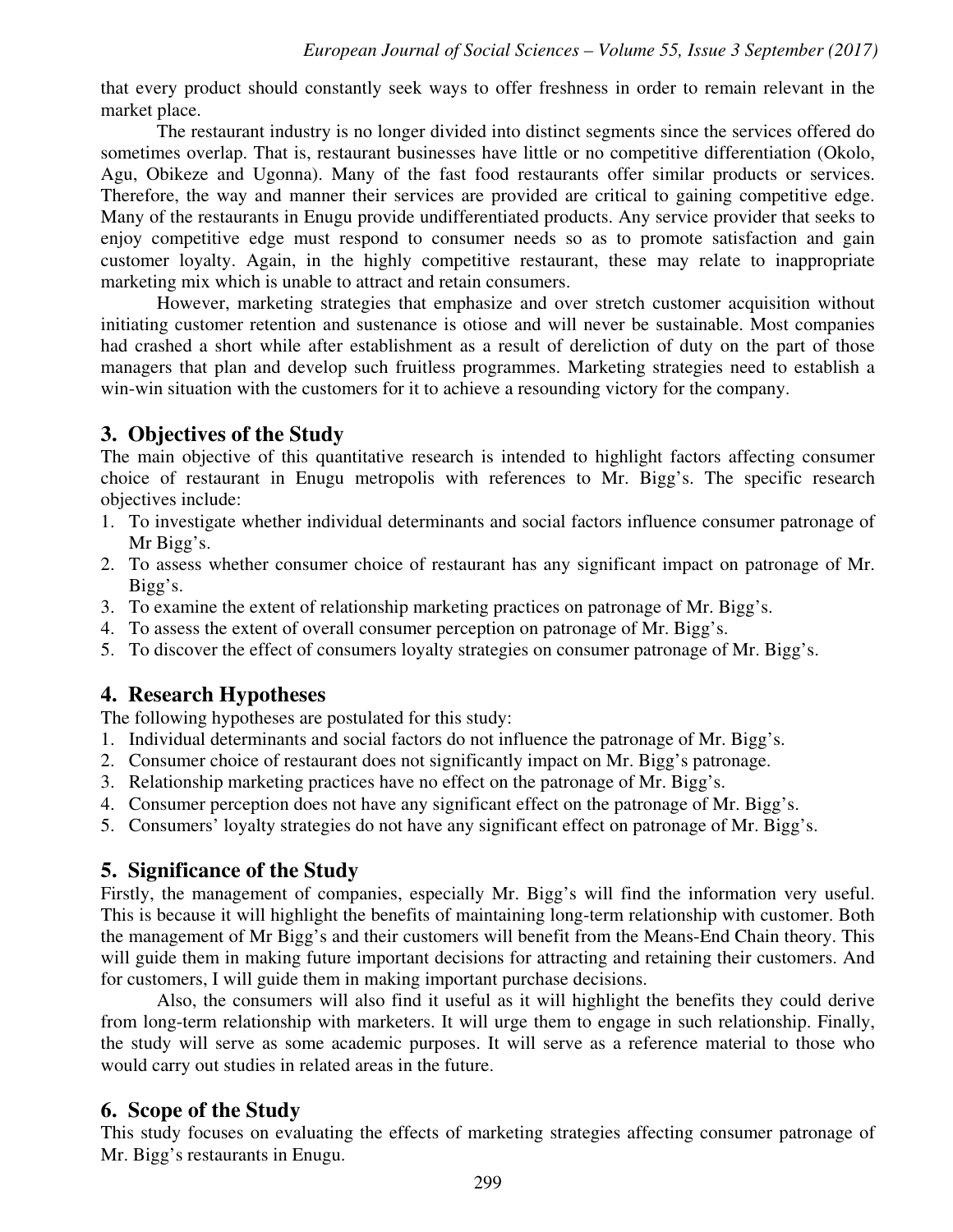that every product should constantly seek ways to offer freshness in order to remain relevant in the market place.

The restaurant industry is no longer divided into distinct segments since the services offered do sometimes overlap. That is, restaurant businesses have little or no competitive differentiation (Okolo, Agu, Obikeze and Ugonna). Many of the fast food restaurants offer similar products or services. Therefore, the way and manner their services are provided are critical to gaining competitive edge. Many of the restaurants in Enugu provide undifferentiated products. Any service provider that seeks to enjoy competitive edge must respond to consumer needs so as to promote satisfaction and gain customer loyalty. Again, in the highly competitive restaurant, these may relate to inappropriate marketing mix which is unable to attract and retain consumers.

However, marketing strategies that emphasize and over stretch customer acquisition without initiating customer retention and sustenance is otiose and will never be sustainable. Most companies had crashed a short while after establishment as a result of dereliction of duty on the part of those managers that plan and develop such fruitless programmes. Marketing strategies need to establish a win-win situation with the customers for it to achieve a resounding victory for the company.

# **3. Objectives of the Study**

The main objective of this quantitative research is intended to highlight factors affecting consumer choice of restaurant in Enugu metropolis with references to Mr. Bigg's. The specific research objectives include:

- 1. To investigate whether individual determinants and social factors influence consumer patronage of Mr Bigg's.
- 2. To assess whether consumer choice of restaurant has any significant impact on patronage of Mr. Bigg's.
- 3. To examine the extent of relationship marketing practices on patronage of Mr. Bigg's.
- 4. To assess the extent of overall consumer perception on patronage of Mr. Bigg's.
- 5. To discover the effect of consumers loyalty strategies on consumer patronage of Mr. Bigg's.

# **4. Research Hypotheses**

The following hypotheses are postulated for this study:

- 1. Individual determinants and social factors do not influence the patronage of Mr. Bigg's.
- 2. Consumer choice of restaurant does not significantly impact on Mr. Bigg's patronage.
- 3. Relationship marketing practices have no effect on the patronage of Mr. Bigg's.
- 4. Consumer perception does not have any significant effect on the patronage of Mr. Bigg's.
- 5. Consumers' loyalty strategies do not have any significant effect on patronage of Mr. Bigg's.

# **5. Significance of the Study**

Firstly, the management of companies, especially Mr. Bigg's will find the information very useful. This is because it will highlight the benefits of maintaining long-term relationship with customer. Both the management of Mr Bigg's and their customers will benefit from the Means-End Chain theory. This will guide them in making future important decisions for attracting and retaining their customers. And for customers, I will guide them in making important purchase decisions.

Also, the consumers will also find it useful as it will highlight the benefits they could derive from long-term relationship with marketers. It will urge them to engage in such relationship. Finally, the study will serve as some academic purposes. It will serve as a reference material to those who would carry out studies in related areas in the future.

# **6. Scope of the Study**

This study focuses on evaluating the effects of marketing strategies affecting consumer patronage of Mr. Bigg's restaurants in Enugu.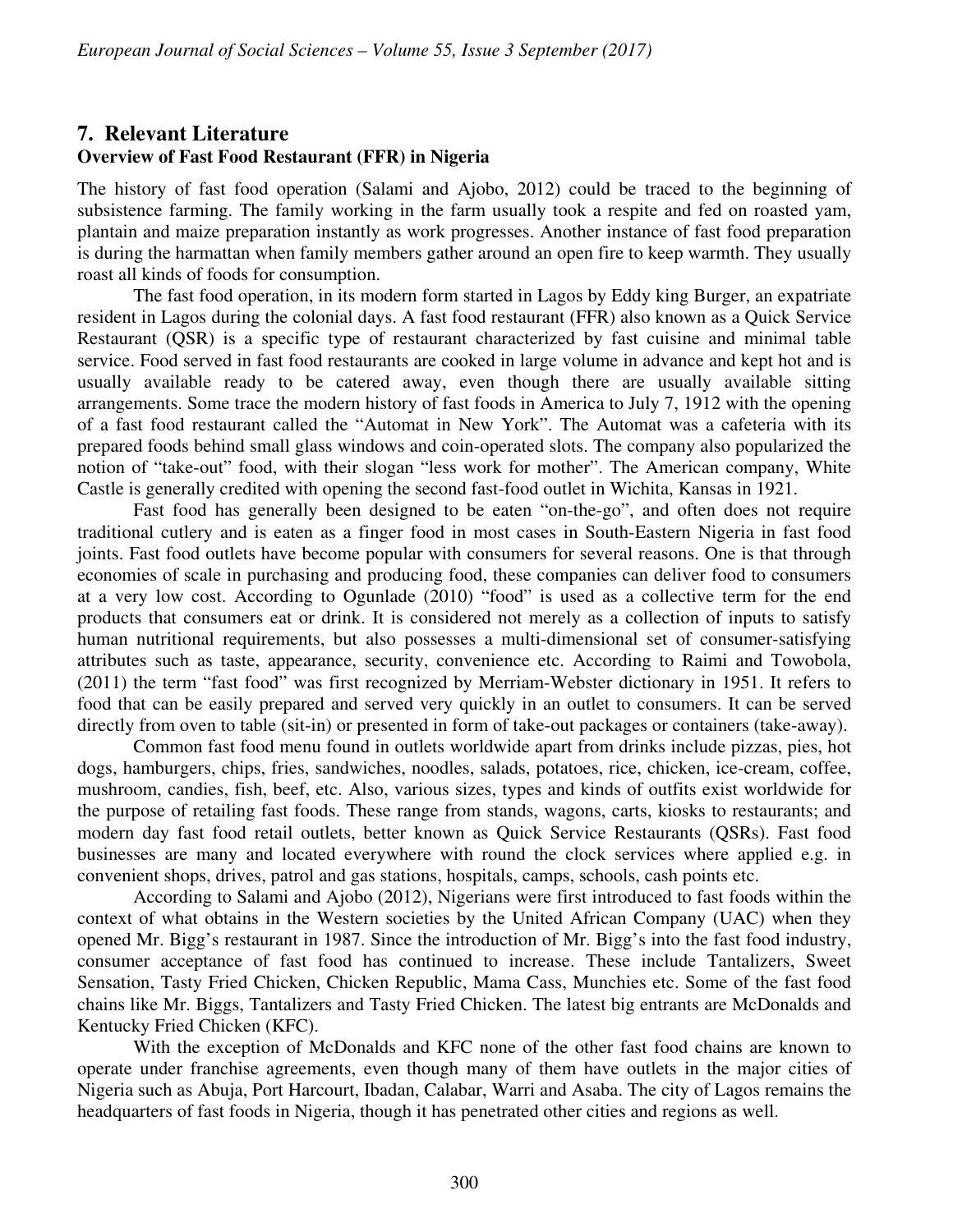# **7. Relevant Literature Overview of Fast Food Restaurant (FFR) in Nigeria**

The history of fast food operation (Salami and Ajobo, 2012) could be traced to the beginning of subsistence farming. The family working in the farm usually took a respite and fed on roasted yam, plantain and maize preparation instantly as work progresses. Another instance of fast food preparation is during the harmattan when family members gather around an open fire to keep warmth. They usually roast all kinds of foods for consumption.

The fast food operation, in its modern form started in Lagos by Eddy king Burger, an expatriate resident in Lagos during the colonial days. A fast food restaurant (FFR) also known as a Quick Service Restaurant (QSR) is a specific type of restaurant characterized by fast cuisine and minimal table service. Food served in fast food restaurants are cooked in large volume in advance and kept hot and is usually available ready to be catered away, even though there are usually available sitting arrangements. Some trace the modern history of fast foods in America to July 7, 1912 with the opening of a fast food restaurant called the "Automat in New York". The Automat was a cafeteria with its prepared foods behind small glass windows and coin-operated slots. The company also popularized the notion of "take-out" food, with their slogan "less work for mother". The American company, White Castle is generally credited with opening the second fast-food outlet in Wichita, Kansas in 1921.

Fast food has generally been designed to be eaten "on-the-go", and often does not require traditional cutlery and is eaten as a finger food in most cases in South-Eastern Nigeria in fast food joints. Fast food outlets have become popular with consumers for several reasons. One is that through economies of scale in purchasing and producing food, these companies can deliver food to consumers at a very low cost. According to Ogunlade (2010) "food" is used as a collective term for the end products that consumers eat or drink. It is considered not merely as a collection of inputs to satisfy human nutritional requirements, but also possesses a multi-dimensional set of consumer-satisfying attributes such as taste, appearance, security, convenience etc. According to Raimi and Towobola, (2011) the term "fast food" was first recognized by Merriam-Webster dictionary in 1951. It refers to food that can be easily prepared and served very quickly in an outlet to consumers. It can be served directly from oven to table (sit-in) or presented in form of take-out packages or containers (take-away).

Common fast food menu found in outlets worldwide apart from drinks include pizzas, pies, hot dogs, hamburgers, chips, fries, sandwiches, noodles, salads, potatoes, rice, chicken, ice-cream, coffee, mushroom, candies, fish, beef, etc. Also, various sizes, types and kinds of outfits exist worldwide for the purpose of retailing fast foods. These range from stands, wagons, carts, kiosks to restaurants; and modern day fast food retail outlets, better known as Quick Service Restaurants (QSRs). Fast food businesses are many and located everywhere with round the clock services where applied e.g. in convenient shops, drives, patrol and gas stations, hospitals, camps, schools, cash points etc.

According to Salami and Ajobo (2012), Nigerians were first introduced to fast foods within the context of what obtains in the Western societies by the United African Company (UAC) when they opened Mr. Bigg's restaurant in 1987. Since the introduction of Mr. Bigg's into the fast food industry, consumer acceptance of fast food has continued to increase. These include Tantalizers, Sweet Sensation, Tasty Fried Chicken, Chicken Republic, Mama Cass, Munchies etc. Some of the fast food chains like Mr. Biggs, Tantalizers and Tasty Fried Chicken. The latest big entrants are McDonalds and Kentucky Fried Chicken (KFC).

With the exception of McDonalds and KFC none of the other fast food chains are known to operate under franchise agreements, even though many of them have outlets in the major cities of Nigeria such as Abuja, Port Harcourt, Ibadan, Calabar, Warri and Asaba. The city of Lagos remains the headquarters of fast foods in Nigeria, though it has penetrated other cities and regions as well.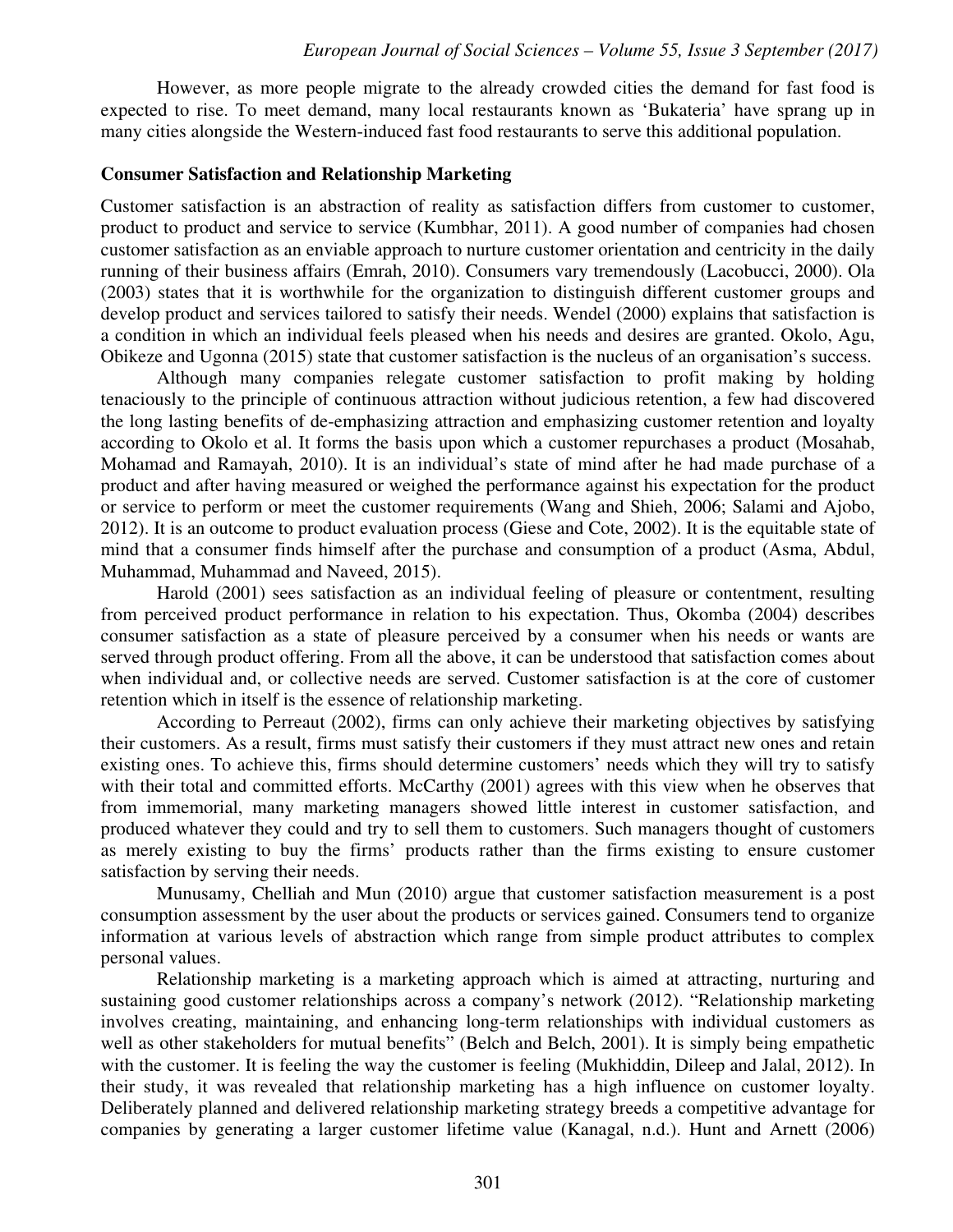However, as more people migrate to the already crowded cities the demand for fast food is expected to rise. To meet demand, many local restaurants known as 'Bukateria' have sprang up in many cities alongside the Western-induced fast food restaurants to serve this additional population.

#### **Consumer Satisfaction and Relationship Marketing**

Customer satisfaction is an abstraction of reality as satisfaction differs from customer to customer, product to product and service to service (Kumbhar, 2011). A good number of companies had chosen customer satisfaction as an enviable approach to nurture customer orientation and centricity in the daily running of their business affairs (Emrah, 2010). Consumers vary tremendously (Lacobucci, 2000). Ola (2003) states that it is worthwhile for the organization to distinguish different customer groups and develop product and services tailored to satisfy their needs. Wendel (2000) explains that satisfaction is a condition in which an individual feels pleased when his needs and desires are granted. Okolo, Agu, Obikeze and Ugonna (2015) state that customer satisfaction is the nucleus of an organisation's success.

Although many companies relegate customer satisfaction to profit making by holding tenaciously to the principle of continuous attraction without judicious retention, a few had discovered the long lasting benefits of de-emphasizing attraction and emphasizing customer retention and loyalty according to Okolo et al. It forms the basis upon which a customer repurchases a product (Mosahab, Mohamad and Ramayah, 2010). It is an individual's state of mind after he had made purchase of a product and after having measured or weighed the performance against his expectation for the product or service to perform or meet the customer requirements (Wang and Shieh, 2006; Salami and Ajobo, 2012). It is an outcome to product evaluation process (Giese and Cote, 2002). It is the equitable state of mind that a consumer finds himself after the purchase and consumption of a product (Asma, Abdul, Muhammad, Muhammad and Naveed, 2015).

Harold (2001) sees satisfaction as an individual feeling of pleasure or contentment, resulting from perceived product performance in relation to his expectation. Thus, Okomba (2004) describes consumer satisfaction as a state of pleasure perceived by a consumer when his needs or wants are served through product offering. From all the above, it can be understood that satisfaction comes about when individual and, or collective needs are served. Customer satisfaction is at the core of customer retention which in itself is the essence of relationship marketing.

According to Perreaut (2002), firms can only achieve their marketing objectives by satisfying their customers. As a result, firms must satisfy their customers if they must attract new ones and retain existing ones. To achieve this, firms should determine customers' needs which they will try to satisfy with their total and committed efforts. McCarthy (2001) agrees with this view when he observes that from immemorial, many marketing managers showed little interest in customer satisfaction, and produced whatever they could and try to sell them to customers. Such managers thought of customers as merely existing to buy the firms' products rather than the firms existing to ensure customer satisfaction by serving their needs.

Munusamy, Chelliah and Mun (2010) argue that customer satisfaction measurement is a post consumption assessment by the user about the products or services gained. Consumers tend to organize information at various levels of abstraction which range from simple product attributes to complex personal values.

Relationship marketing is a marketing approach which is aimed at attracting, nurturing and sustaining good customer relationships across a company's network (2012). "Relationship marketing involves creating, maintaining, and enhancing long-term relationships with individual customers as well as other stakeholders for mutual benefits" (Belch and Belch, 2001). It is simply being empathetic with the customer. It is feeling the way the customer is feeling (Mukhiddin, Dileep and Jalal, 2012). In their study, it was revealed that relationship marketing has a high influence on customer loyalty. Deliberately planned and delivered relationship marketing strategy breeds a competitive advantage for companies by generating a larger customer lifetime value (Kanagal, n.d.). Hunt and Arnett (2006)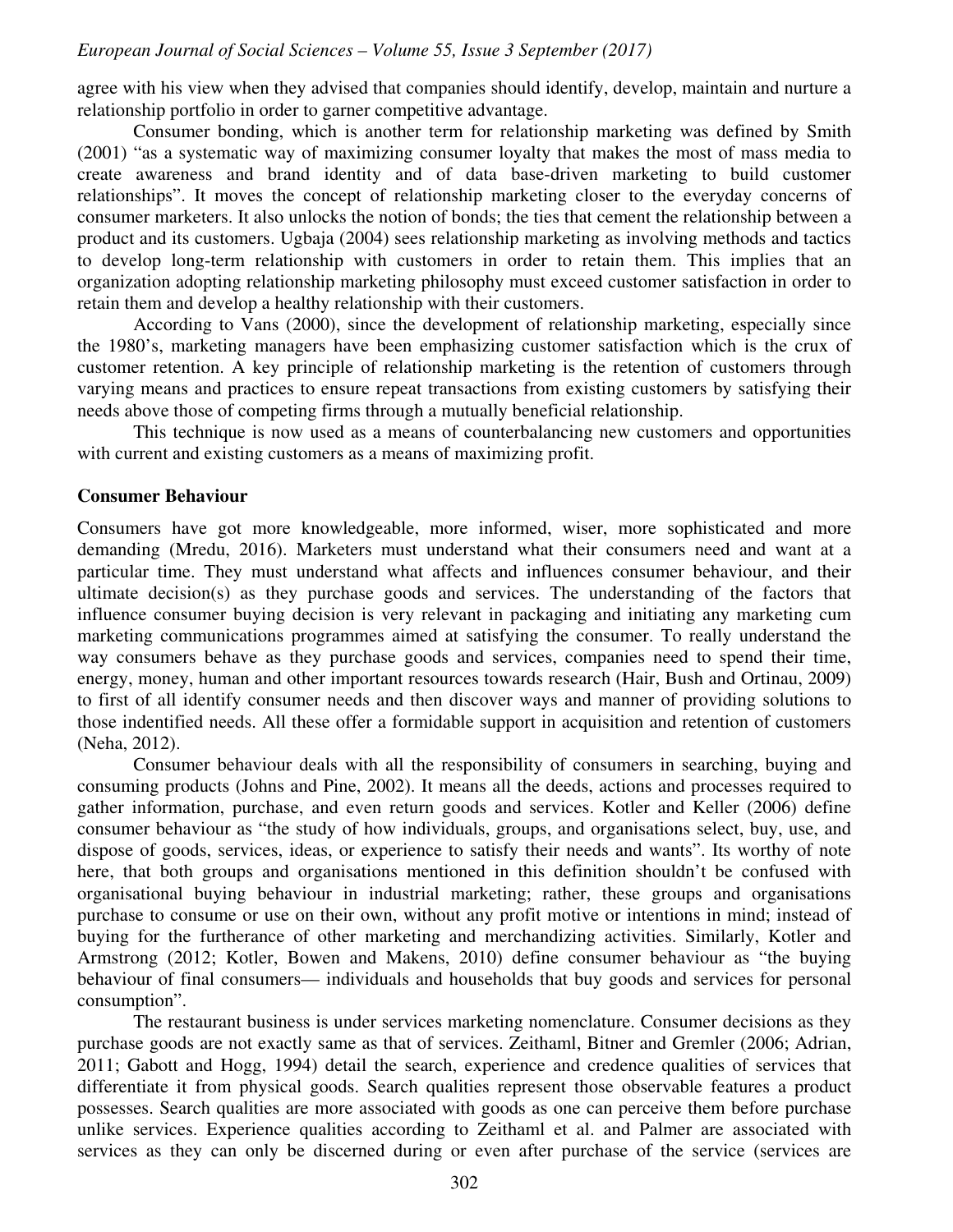agree with his view when they advised that companies should identify, develop, maintain and nurture a relationship portfolio in order to garner competitive advantage.

Consumer bonding, which is another term for relationship marketing was defined by Smith (2001) "as a systematic way of maximizing consumer loyalty that makes the most of mass media to create awareness and brand identity and of data base-driven marketing to build customer relationships". It moves the concept of relationship marketing closer to the everyday concerns of consumer marketers. It also unlocks the notion of bonds; the ties that cement the relationship between a product and its customers. Ugbaja (2004) sees relationship marketing as involving methods and tactics to develop long-term relationship with customers in order to retain them. This implies that an organization adopting relationship marketing philosophy must exceed customer satisfaction in order to retain them and develop a healthy relationship with their customers.

According to Vans (2000), since the development of relationship marketing, especially since the 1980's, marketing managers have been emphasizing customer satisfaction which is the crux of customer retention. A key principle of relationship marketing is the retention of customers through varying means and practices to ensure repeat transactions from existing customers by satisfying their needs above those of competing firms through a mutually beneficial relationship.

This technique is now used as a means of counterbalancing new customers and opportunities with current and existing customers as a means of maximizing profit.

#### **Consumer Behaviour**

Consumers have got more knowledgeable, more informed, wiser, more sophisticated and more demanding (Mredu, 2016). Marketers must understand what their consumers need and want at a particular time. They must understand what affects and influences consumer behaviour, and their ultimate decision(s) as they purchase goods and services. The understanding of the factors that influence consumer buying decision is very relevant in packaging and initiating any marketing cum marketing communications programmes aimed at satisfying the consumer. To really understand the way consumers behave as they purchase goods and services, companies need to spend their time, energy, money, human and other important resources towards research (Hair, Bush and Ortinau, 2009) to first of all identify consumer needs and then discover ways and manner of providing solutions to those indentified needs. All these offer a formidable support in acquisition and retention of customers (Neha, 2012).

Consumer behaviour deals with all the responsibility of consumers in searching, buying and consuming products (Johns and Pine, 2002). It means all the deeds, actions and processes required to gather information, purchase, and even return goods and services. Kotler and Keller (2006) define consumer behaviour as "the study of how individuals, groups, and organisations select, buy, use, and dispose of goods, services, ideas, or experience to satisfy their needs and wants". Its worthy of note here, that both groups and organisations mentioned in this definition shouldn't be confused with organisational buying behaviour in industrial marketing; rather, these groups and organisations purchase to consume or use on their own, without any profit motive or intentions in mind; instead of buying for the furtherance of other marketing and merchandizing activities. Similarly, Kotler and Armstrong (2012; Kotler, Bowen and Makens, 2010) define consumer behaviour as "the buying behaviour of final consumers— individuals and households that buy goods and services for personal consumption".

The restaurant business is under services marketing nomenclature. Consumer decisions as they purchase goods are not exactly same as that of services. Zeithaml, Bitner and Gremler (2006; Adrian, 2011; Gabott and Hogg, 1994) detail the search, experience and credence qualities of services that differentiate it from physical goods. Search qualities represent those observable features a product possesses. Search qualities are more associated with goods as one can perceive them before purchase unlike services. Experience qualities according to Zeithaml et al. and Palmer are associated with services as they can only be discerned during or even after purchase of the service (services are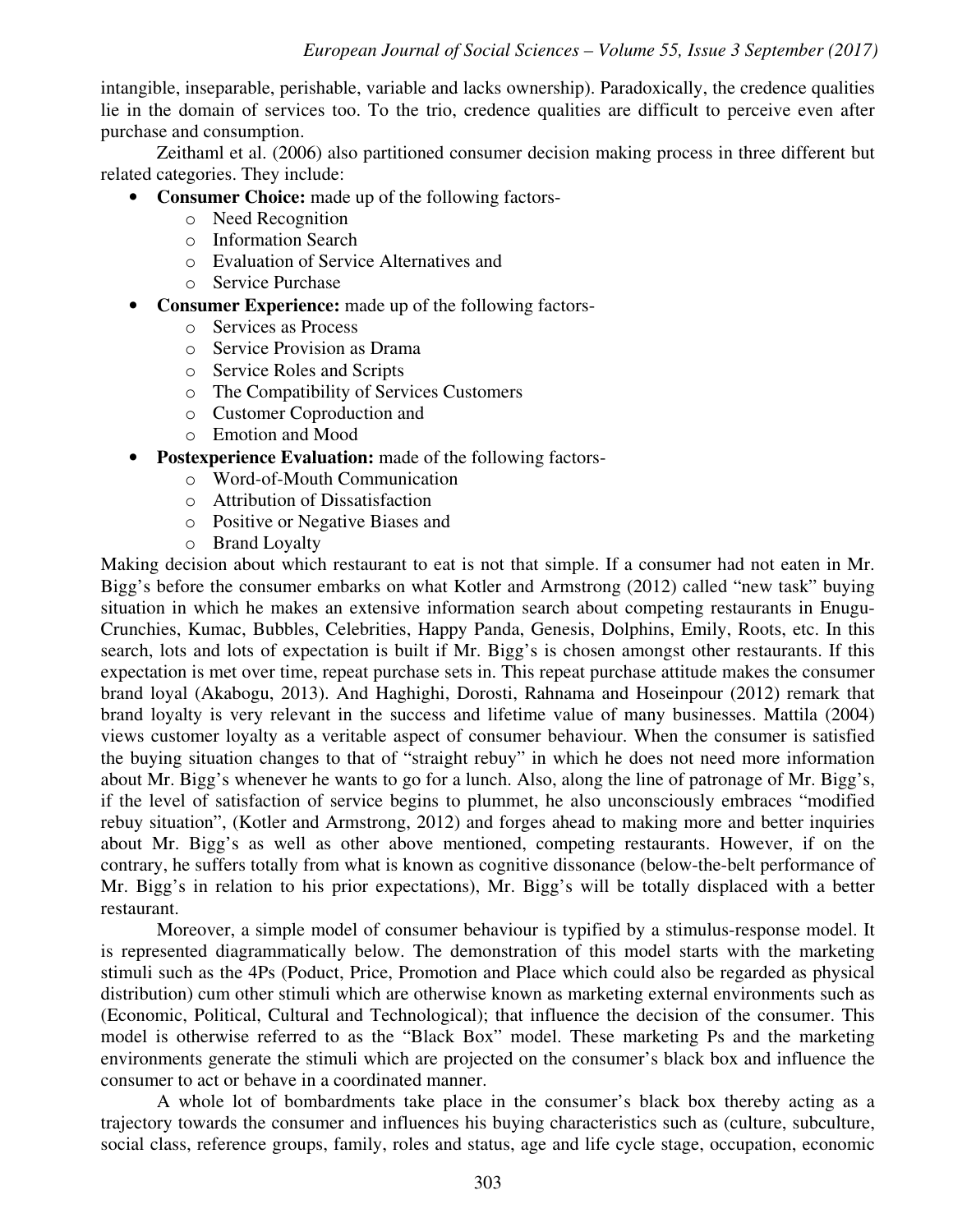intangible, inseparable, perishable, variable and lacks ownership). Paradoxically, the credence qualities lie in the domain of services too. To the trio, credence qualities are difficult to perceive even after purchase and consumption.

Zeithaml et al. (2006) also partitioned consumer decision making process in three different but related categories. They include:

- **Consumer Choice:** made up of the following factors
	- o Need Recognition
	- o Information Search
	- o Evaluation of Service Alternatives and
	- o Service Purchase
- **Consumer Experience:** made up of the following factors
	- o Services as Process
	- o Service Provision as Drama
	- o Service Roles and Scripts
	- o The Compatibility of Services Customers
	- o Customer Coproduction and
	- o Emotion and Mood
- **Postexperience Evaluation:** made of the following factors
	- o Word-of-Mouth Communication
	- o Attribution of Dissatisfaction
	- o Positive or Negative Biases and
	- o Brand Loyalty

Making decision about which restaurant to eat is not that simple. If a consumer had not eaten in Mr. Bigg's before the consumer embarks on what Kotler and Armstrong (2012) called "new task" buying situation in which he makes an extensive information search about competing restaurants in Enugu-Crunchies, Kumac, Bubbles, Celebrities, Happy Panda, Genesis, Dolphins, Emily, Roots, etc. In this search, lots and lots of expectation is built if Mr. Bigg's is chosen amongst other restaurants. If this expectation is met over time, repeat purchase sets in. This repeat purchase attitude makes the consumer brand loyal (Akabogu, 2013). And Haghighi, Dorosti, Rahnama and Hoseinpour (2012) remark that brand loyalty is very relevant in the success and lifetime value of many businesses. Mattila (2004) views customer loyalty as a veritable aspect of consumer behaviour. When the consumer is satisfied the buying situation changes to that of "straight rebuy" in which he does not need more information about Mr. Bigg's whenever he wants to go for a lunch. Also, along the line of patronage of Mr. Bigg's, if the level of satisfaction of service begins to plummet, he also unconsciously embraces "modified rebuy situation", (Kotler and Armstrong, 2012) and forges ahead to making more and better inquiries about Mr. Bigg's as well as other above mentioned, competing restaurants. However, if on the contrary, he suffers totally from what is known as cognitive dissonance (below-the-belt performance of Mr. Bigg's in relation to his prior expectations), Mr. Bigg's will be totally displaced with a better restaurant.

Moreover, a simple model of consumer behaviour is typified by a stimulus-response model. It is represented diagrammatically below. The demonstration of this model starts with the marketing stimuli such as the 4Ps (Poduct, Price, Promotion and Place which could also be regarded as physical distribution) cum other stimuli which are otherwise known as marketing external environments such as (Economic, Political, Cultural and Technological); that influence the decision of the consumer. This model is otherwise referred to as the "Black Box" model. These marketing Ps and the marketing environments generate the stimuli which are projected on the consumer's black box and influence the consumer to act or behave in a coordinated manner.

A whole lot of bombardments take place in the consumer's black box thereby acting as a trajectory towards the consumer and influences his buying characteristics such as (culture, subculture, social class, reference groups, family, roles and status, age and life cycle stage, occupation, economic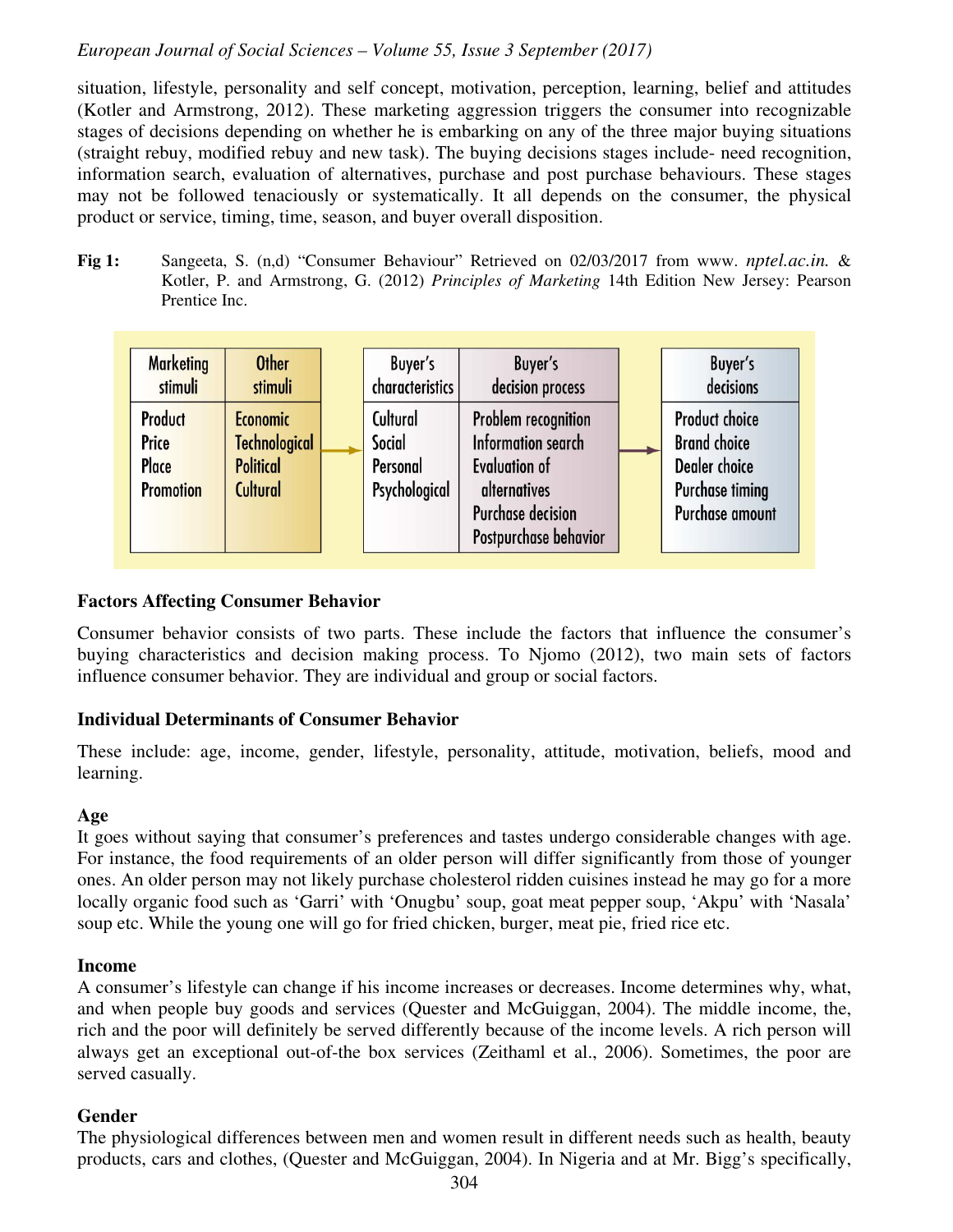situation, lifestyle, personality and self concept, motivation, perception, learning, belief and attitudes (Kotler and Armstrong, 2012). These marketing aggression triggers the consumer into recognizable stages of decisions depending on whether he is embarking on any of the three major buying situations (straight rebuy, modified rebuy and new task). The buying decisions stages include- need recognition, information search, evaluation of alternatives, purchase and post purchase behaviours. These stages may not be followed tenaciously or systematically. It all depends on the consumer, the physical product or service, timing, time, season, and buyer overall disposition.

**Fig 1:** Sangeeta, S. (n,d) "Consumer Behaviour" Retrieved on 02/03/2017 from www. *nptel.ac.in.* & Kotler, P. and Armstrong, G. (2012) *Principles of Marketing* 14th Edition New Jersey: Pearson Prentice Inc.

| <b>Marketing</b><br>stimuli                          | <b>Other</b><br>stimuli                                                 | Buyer's<br>characteristics                      | Buyer's<br>decision process                                                                                                                          | Buyer's<br>decisions                                                                                              |
|------------------------------------------------------|-------------------------------------------------------------------------|-------------------------------------------------|------------------------------------------------------------------------------------------------------------------------------------------------------|-------------------------------------------------------------------------------------------------------------------|
| <b>Product</b><br>Price<br>Place<br><b>Promotion</b> | <b>Economic</b><br><b>Technological</b><br><b>Political</b><br>Cultural | Cultural<br>Social<br>Personal<br>Psychological | Problem recognition<br><b>Information search</b><br><b>Evaluation of</b><br><i>alternatives</i><br><b>Purchase decision</b><br>Postpurchase behavior | <b>Product choice</b><br><b>Brand choice</b><br><b>Dealer</b> choice<br><b>Purchase timing</b><br>Purchase amount |

#### **Factors Affecting Consumer Behavior**

Consumer behavior consists of two parts. These include the factors that influence the consumer's buying characteristics and decision making process. To Njomo (2012), two main sets of factors influence consumer behavior. They are individual and group or social factors.

#### **Individual Determinants of Consumer Behavior**

These include: age, income, gender, lifestyle, personality, attitude, motivation, beliefs, mood and learning.

#### **Age**

It goes without saying that consumer's preferences and tastes undergo considerable changes with age. For instance, the food requirements of an older person will differ significantly from those of younger ones. An older person may not likely purchase cholesterol ridden cuisines instead he may go for a more locally organic food such as 'Garri' with 'Onugbu' soup, goat meat pepper soup, 'Akpu' with 'Nasala' soup etc. While the young one will go for fried chicken, burger, meat pie, fried rice etc.

#### **Income**

A consumer's lifestyle can change if his income increases or decreases. Income determines why, what, and when people buy goods and services (Quester and McGuiggan, 2004). The middle income, the, rich and the poor will definitely be served differently because of the income levels. A rich person will always get an exceptional out-of-the box services (Zeithaml et al., 2006). Sometimes, the poor are served casually.

#### **Gender**

The physiological differences between men and women result in different needs such as health, beauty products, cars and clothes, (Quester and McGuiggan, 2004). In Nigeria and at Mr. Bigg's specifically,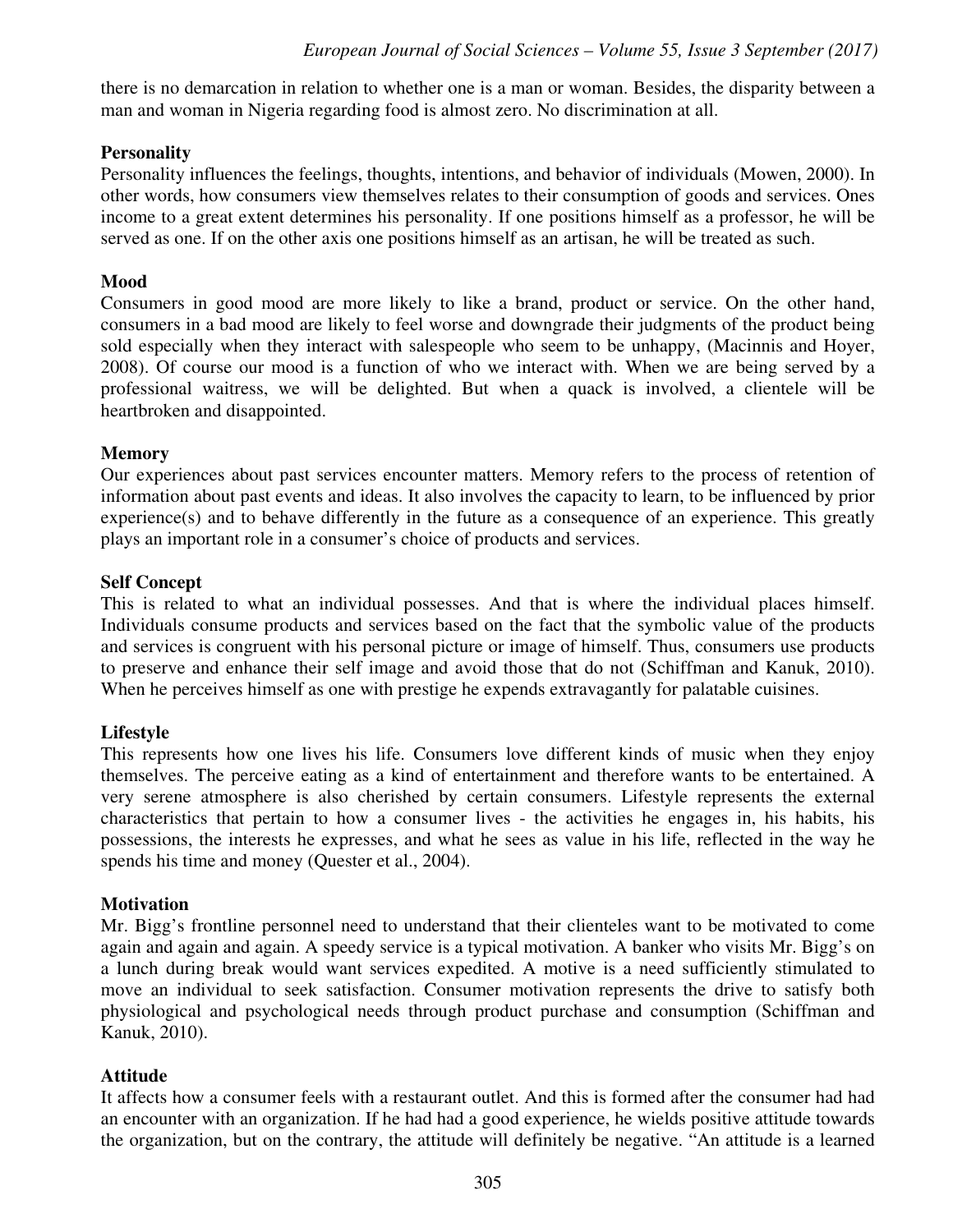there is no demarcation in relation to whether one is a man or woman. Besides, the disparity between a man and woman in Nigeria regarding food is almost zero. No discrimination at all.

# **Personality**

Personality influences the feelings, thoughts, intentions, and behavior of individuals (Mowen, 2000). In other words, how consumers view themselves relates to their consumption of goods and services. Ones income to a great extent determines his personality. If one positions himself as a professor, he will be served as one. If on the other axis one positions himself as an artisan, he will be treated as such.

# **Mood**

Consumers in good mood are more likely to like a brand, product or service. On the other hand, consumers in a bad mood are likely to feel worse and downgrade their judgments of the product being sold especially when they interact with salespeople who seem to be unhappy, (Macinnis and Hoyer, 2008). Of course our mood is a function of who we interact with. When we are being served by a professional waitress, we will be delighted. But when a quack is involved, a clientele will be heartbroken and disappointed.

# **Memory**

Our experiences about past services encounter matters. Memory refers to the process of retention of information about past events and ideas. It also involves the capacity to learn, to be influenced by prior experience(s) and to behave differently in the future as a consequence of an experience. This greatly plays an important role in a consumer's choice of products and services.

# **Self Concept**

This is related to what an individual possesses. And that is where the individual places himself. Individuals consume products and services based on the fact that the symbolic value of the products and services is congruent with his personal picture or image of himself. Thus, consumers use products to preserve and enhance their self image and avoid those that do not (Schiffman and Kanuk, 2010). When he perceives himself as one with prestige he expends extravagantly for palatable cuisines.

# **Lifestyle**

This represents how one lives his life. Consumers love different kinds of music when they enjoy themselves. The perceive eating as a kind of entertainment and therefore wants to be entertained. A very serene atmosphere is also cherished by certain consumers. Lifestyle represents the external characteristics that pertain to how a consumer lives - the activities he engages in, his habits, his possessions, the interests he expresses, and what he sees as value in his life, reflected in the way he spends his time and money (Quester et al., 2004).

# **Motivation**

Mr. Bigg's frontline personnel need to understand that their clienteles want to be motivated to come again and again and again. A speedy service is a typical motivation. A banker who visits Mr. Bigg's on a lunch during break would want services expedited. A motive is a need sufficiently stimulated to move an individual to seek satisfaction. Consumer motivation represents the drive to satisfy both physiological and psychological needs through product purchase and consumption (Schiffman and Kanuk, 2010).

# **Attitude**

It affects how a consumer feels with a restaurant outlet. And this is formed after the consumer had had an encounter with an organization. If he had had a good experience, he wields positive attitude towards the organization, but on the contrary, the attitude will definitely be negative. "An attitude is a learned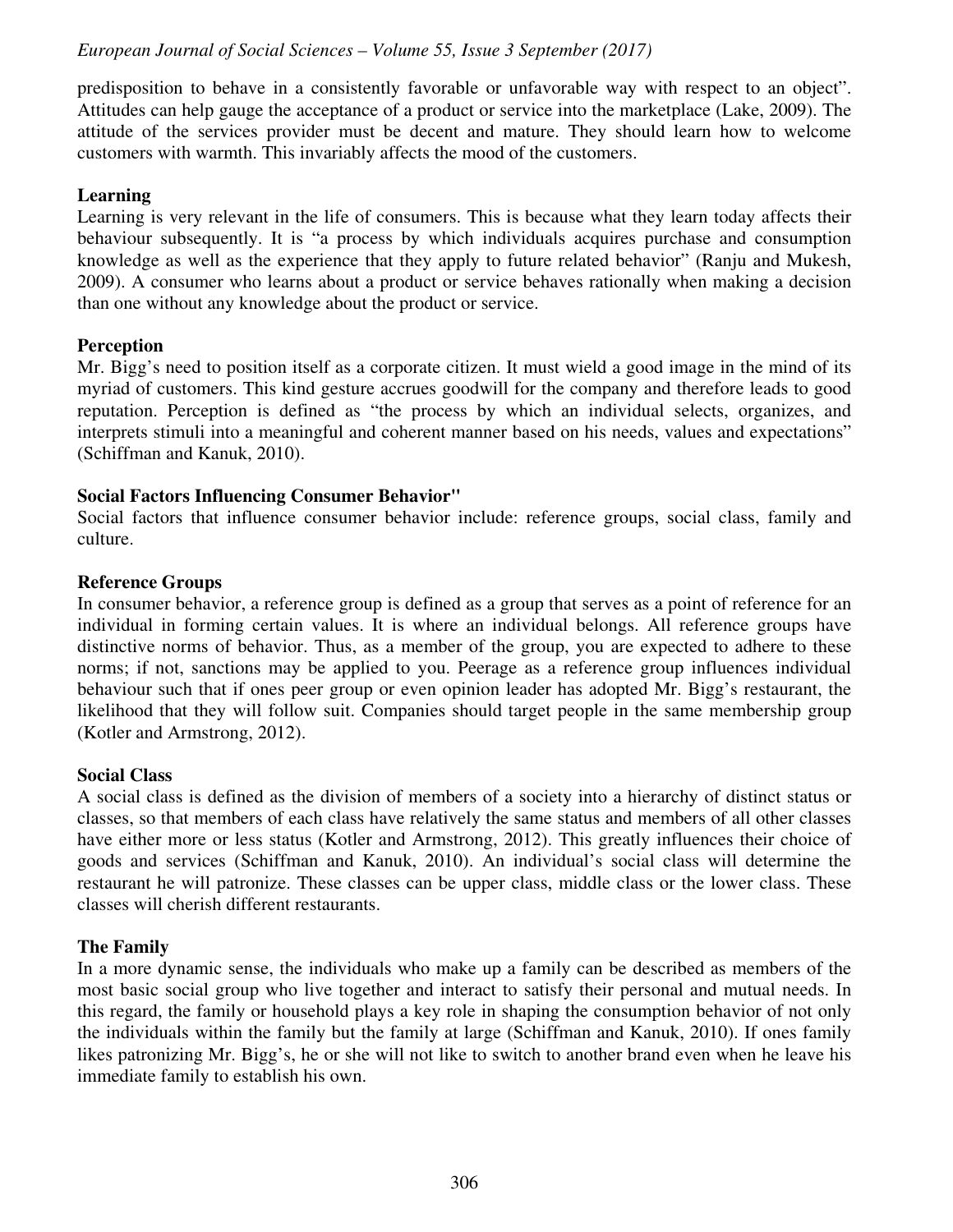predisposition to behave in a consistently favorable or unfavorable way with respect to an object". Attitudes can help gauge the acceptance of a product or service into the marketplace (Lake, 2009). The attitude of the services provider must be decent and mature. They should learn how to welcome customers with warmth. This invariably affects the mood of the customers.

#### **Learning**

Learning is very relevant in the life of consumers. This is because what they learn today affects their behaviour subsequently. It is "a process by which individuals acquires purchase and consumption knowledge as well as the experience that they apply to future related behavior" (Ranju and Mukesh, 2009). A consumer who learns about a product or service behaves rationally when making a decision than one without any knowledge about the product or service.

#### **Perception**

Mr. Bigg's need to position itself as a corporate citizen. It must wield a good image in the mind of its myriad of customers. This kind gesture accrues goodwill for the company and therefore leads to good reputation. Perception is defined as "the process by which an individual selects, organizes, and interprets stimuli into a meaningful and coherent manner based on his needs, values and expectations" (Schiffman and Kanuk, 2010).

#### **Social Factors Influencing Consumer Behavior"**

Social factors that influence consumer behavior include: reference groups, social class, family and culture.

#### **Reference Groups**

In consumer behavior, a reference group is defined as a group that serves as a point of reference for an individual in forming certain values. It is where an individual belongs. All reference groups have distinctive norms of behavior. Thus, as a member of the group, you are expected to adhere to these norms; if not, sanctions may be applied to you. Peerage as a reference group influences individual behaviour such that if ones peer group or even opinion leader has adopted Mr. Bigg's restaurant, the likelihood that they will follow suit. Companies should target people in the same membership group (Kotler and Armstrong, 2012).

#### **Social Class**

A social class is defined as the division of members of a society into a hierarchy of distinct status or classes, so that members of each class have relatively the same status and members of all other classes have either more or less status (Kotler and Armstrong, 2012). This greatly influences their choice of goods and services (Schiffman and Kanuk, 2010). An individual's social class will determine the restaurant he will patronize. These classes can be upper class, middle class or the lower class. These classes will cherish different restaurants.

#### **The Family**

In a more dynamic sense, the individuals who make up a family can be described as members of the most basic social group who live together and interact to satisfy their personal and mutual needs. In this regard, the family or household plays a key role in shaping the consumption behavior of not only the individuals within the family but the family at large (Schiffman and Kanuk, 2010). If ones family likes patronizing Mr. Bigg's, he or she will not like to switch to another brand even when he leave his immediate family to establish his own.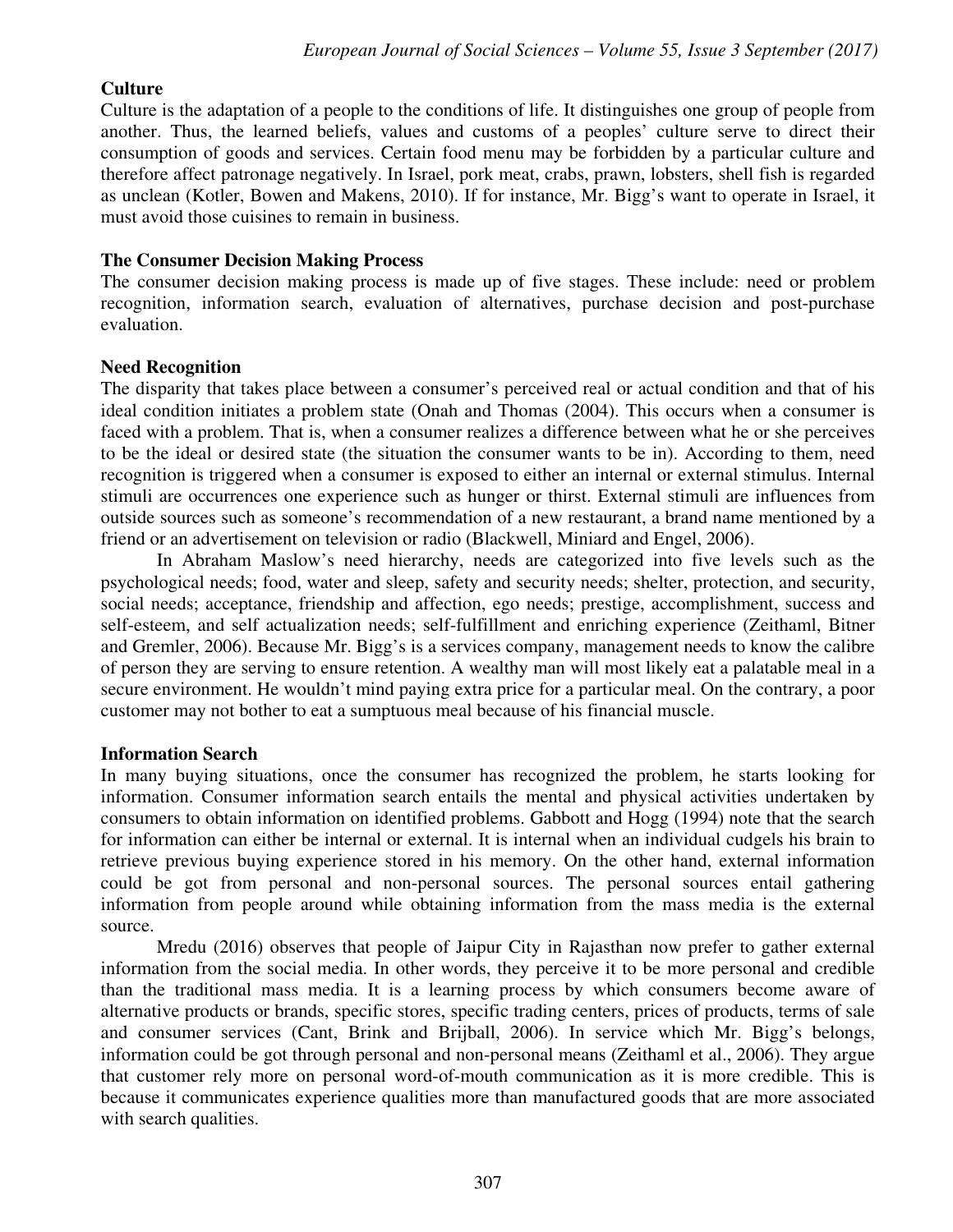# **Culture**

Culture is the adaptation of a people to the conditions of life. It distinguishes one group of people from another. Thus, the learned beliefs, values and customs of a peoples' culture serve to direct their consumption of goods and services. Certain food menu may be forbidden by a particular culture and therefore affect patronage negatively. In Israel, pork meat, crabs, prawn, lobsters, shell fish is regarded as unclean (Kotler, Bowen and Makens, 2010). If for instance, Mr. Bigg's want to operate in Israel, it must avoid those cuisines to remain in business.

#### **The Consumer Decision Making Process**

The consumer decision making process is made up of five stages. These include: need or problem recognition, information search, evaluation of alternatives, purchase decision and post-purchase evaluation.

#### **Need Recognition**

The disparity that takes place between a consumer's perceived real or actual condition and that of his ideal condition initiates a problem state (Onah and Thomas (2004). This occurs when a consumer is faced with a problem. That is, when a consumer realizes a difference between what he or she perceives to be the ideal or desired state (the situation the consumer wants to be in). According to them, need recognition is triggered when a consumer is exposed to either an internal or external stimulus. Internal stimuli are occurrences one experience such as hunger or thirst. External stimuli are influences from outside sources such as someone's recommendation of a new restaurant, a brand name mentioned by a friend or an advertisement on television or radio (Blackwell, Miniard and Engel, 2006).

In Abraham Maslow's need hierarchy, needs are categorized into five levels such as the psychological needs; food, water and sleep, safety and security needs; shelter, protection, and security, social needs; acceptance, friendship and affection, ego needs; prestige, accomplishment, success and self-esteem, and self actualization needs; self-fulfillment and enriching experience (Zeithaml, Bitner and Gremler, 2006). Because Mr. Bigg's is a services company, management needs to know the calibre of person they are serving to ensure retention. A wealthy man will most likely eat a palatable meal in a secure environment. He wouldn't mind paying extra price for a particular meal. On the contrary, a poor customer may not bother to eat a sumptuous meal because of his financial muscle.

#### **Information Search**

In many buying situations, once the consumer has recognized the problem, he starts looking for information. Consumer information search entails the mental and physical activities undertaken by consumers to obtain information on identified problems. Gabbott and Hogg (1994) note that the search for information can either be internal or external. It is internal when an individual cudgels his brain to retrieve previous buying experience stored in his memory. On the other hand, external information could be got from personal and non-personal sources. The personal sources entail gathering information from people around while obtaining information from the mass media is the external source.

Mredu (2016) observes that people of Jaipur City in Rajasthan now prefer to gather external information from the social media. In other words, they perceive it to be more personal and credible than the traditional mass media. It is a learning process by which consumers become aware of alternative products or brands, specific stores, specific trading centers, prices of products, terms of sale and consumer services (Cant, Brink and Brijball, 2006). In service which Mr. Bigg's belongs, information could be got through personal and non-personal means (Zeithaml et al., 2006). They argue that customer rely more on personal word-of-mouth communication as it is more credible. This is because it communicates experience qualities more than manufactured goods that are more associated with search qualities.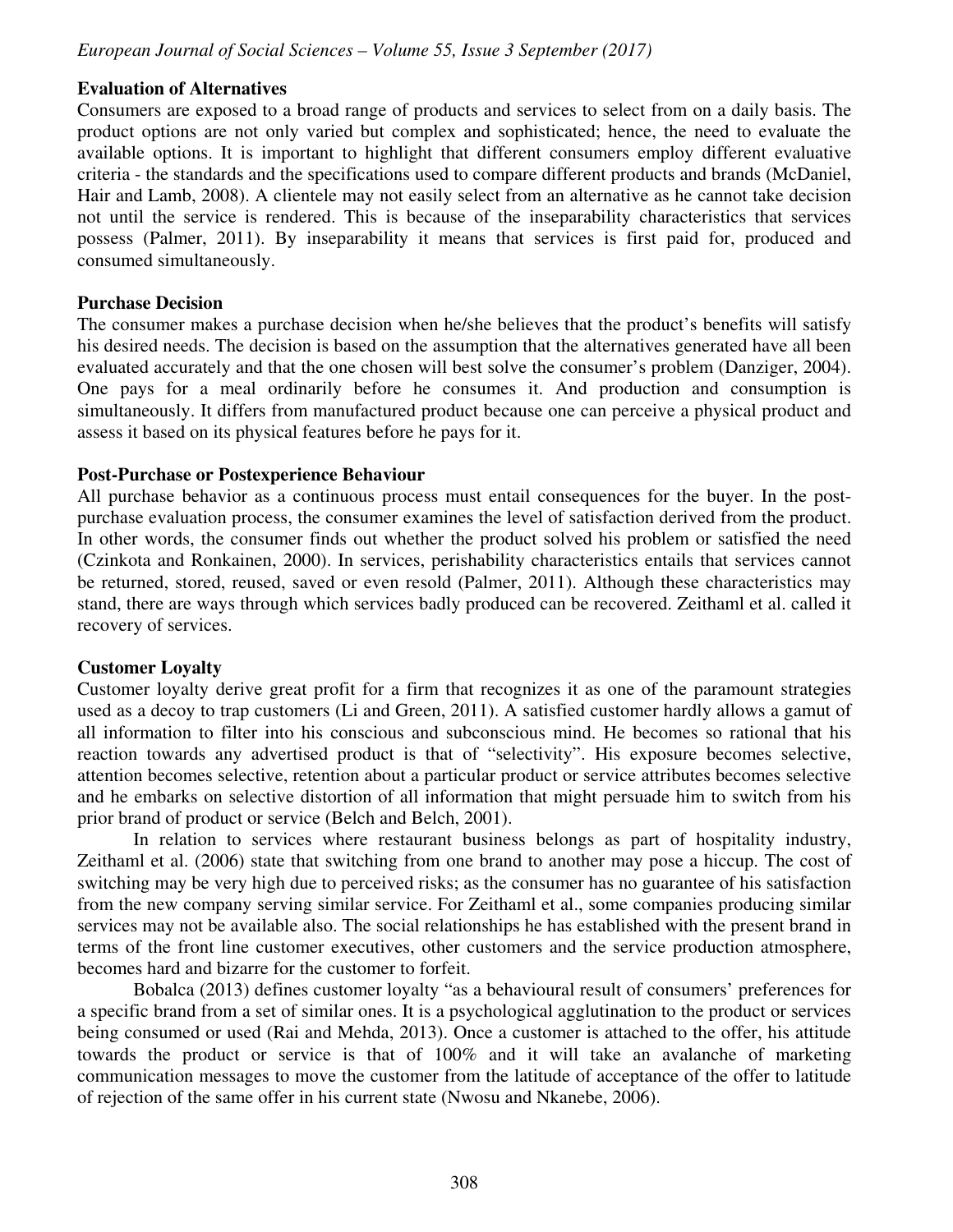#### **Evaluation of Alternatives**

Consumers are exposed to a broad range of products and services to select from on a daily basis. The product options are not only varied but complex and sophisticated; hence, the need to evaluate the available options. It is important to highlight that different consumers employ different evaluative criteria - the standards and the specifications used to compare different products and brands (McDaniel, Hair and Lamb, 2008). A clientele may not easily select from an alternative as he cannot take decision not until the service is rendered. This is because of the inseparability characteristics that services possess (Palmer, 2011). By inseparability it means that services is first paid for, produced and consumed simultaneously.

#### **Purchase Decision**

The consumer makes a purchase decision when he/she believes that the product's benefits will satisfy his desired needs. The decision is based on the assumption that the alternatives generated have all been evaluated accurately and that the one chosen will best solve the consumer's problem (Danziger, 2004). One pays for a meal ordinarily before he consumes it. And production and consumption is simultaneously. It differs from manufactured product because one can perceive a physical product and assess it based on its physical features before he pays for it.

#### **Post-Purchase or Postexperience Behaviour**

All purchase behavior as a continuous process must entail consequences for the buyer. In the postpurchase evaluation process, the consumer examines the level of satisfaction derived from the product. In other words, the consumer finds out whether the product solved his problem or satisfied the need (Czinkota and Ronkainen, 2000). In services, perishability characteristics entails that services cannot be returned, stored, reused, saved or even resold (Palmer, 2011). Although these characteristics may stand, there are ways through which services badly produced can be recovered. Zeithaml et al. called it recovery of services.

#### **Customer Loyalty**

Customer loyalty derive great profit for a firm that recognizes it as one of the paramount strategies used as a decoy to trap customers (Li and Green, 2011). A satisfied customer hardly allows a gamut of all information to filter into his conscious and subconscious mind. He becomes so rational that his reaction towards any advertised product is that of "selectivity". His exposure becomes selective, attention becomes selective, retention about a particular product or service attributes becomes selective and he embarks on selective distortion of all information that might persuade him to switch from his prior brand of product or service (Belch and Belch, 2001).

In relation to services where restaurant business belongs as part of hospitality industry, Zeithaml et al. (2006) state that switching from one brand to another may pose a hiccup. The cost of switching may be very high due to perceived risks; as the consumer has no guarantee of his satisfaction from the new company serving similar service. For Zeithaml et al., some companies producing similar services may not be available also. The social relationships he has established with the present brand in terms of the front line customer executives, other customers and the service production atmosphere, becomes hard and bizarre for the customer to forfeit.

Bobalca (2013) defines customer loyalty "as a behavioural result of consumers' preferences for a specific brand from a set of similar ones. It is a psychological agglutination to the product or services being consumed or used (Rai and Mehda, 2013). Once a customer is attached to the offer, his attitude towards the product or service is that of 100% and it will take an avalanche of marketing communication messages to move the customer from the latitude of acceptance of the offer to latitude of rejection of the same offer in his current state (Nwosu and Nkanebe, 2006).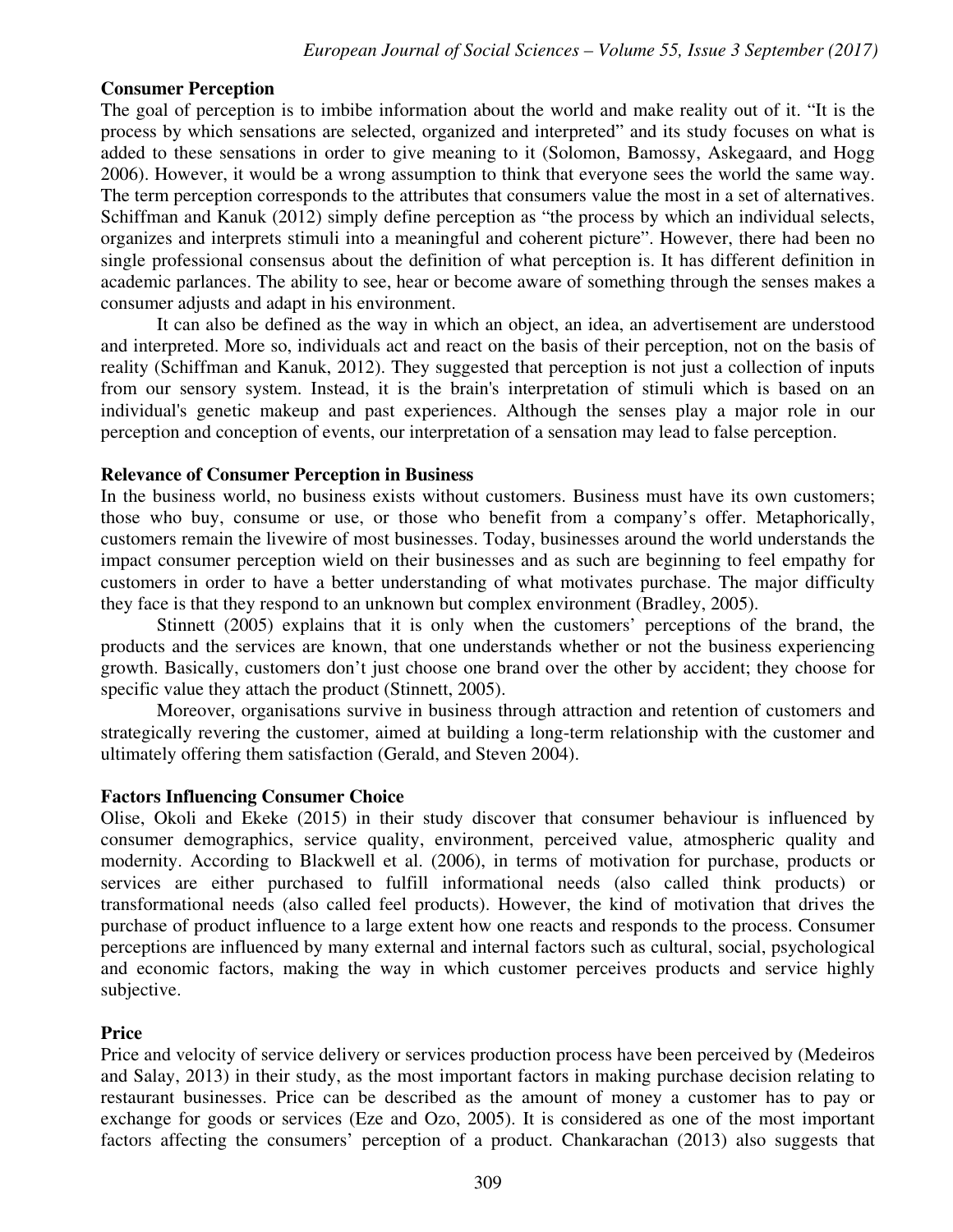#### **Consumer Perception**

The goal of perception is to imbibe information about the world and make reality out of it. "It is the process by which sensations are selected, organized and interpreted" and its study focuses on what is added to these sensations in order to give meaning to it (Solomon, Bamossy, Askegaard, and Hogg 2006). However, it would be a wrong assumption to think that everyone sees the world the same way. The term perception corresponds to the attributes that consumers value the most in a set of alternatives. Schiffman and Kanuk (2012) simply define perception as "the process by which an individual selects, organizes and interprets stimuli into a meaningful and coherent picture". However, there had been no single professional consensus about the definition of what perception is. It has different definition in academic parlances. The ability to see, hear or become aware of something through the senses makes a consumer adjusts and adapt in his environment.

It can also be defined as the way in which an object, an idea, an advertisement are understood and interpreted. More so, individuals act and react on the basis of their perception, not on the basis of reality (Schiffman and Kanuk, 2012). They suggested that perception is not just a collection of inputs from our sensory system. Instead, it is the brain's interpretation of stimuli which is based on an individual's genetic makeup and past experiences. Although the senses play a major role in our perception and conception of events, our interpretation of a sensation may lead to false perception.

#### **Relevance of Consumer Perception in Business**

In the business world, no business exists without customers. Business must have its own customers; those who buy, consume or use, or those who benefit from a company's offer. Metaphorically, customers remain the livewire of most businesses. Today, businesses around the world understands the impact consumer perception wield on their businesses and as such are beginning to feel empathy for customers in order to have a better understanding of what motivates purchase. The major difficulty they face is that they respond to an unknown but complex environment (Bradley, 2005).

Stinnett (2005) explains that it is only when the customers' perceptions of the brand, the products and the services are known, that one understands whether or not the business experiencing growth. Basically, customers don't just choose one brand over the other by accident; they choose for specific value they attach the product (Stinnett, 2005).

Moreover, organisations survive in business through attraction and retention of customers and strategically revering the customer, aimed at building a long-term relationship with the customer and ultimately offering them satisfaction (Gerald, and Steven 2004).

#### **Factors Influencing Consumer Choice**

Olise, Okoli and Ekeke (2015) in their study discover that consumer behaviour is influenced by consumer demographics, service quality, environment, perceived value, atmospheric quality and modernity. According to Blackwell et al. (2006), in terms of motivation for purchase, products or services are either purchased to fulfill informational needs (also called think products) or transformational needs (also called feel products). However, the kind of motivation that drives the purchase of product influence to a large extent how one reacts and responds to the process. Consumer perceptions are influenced by many external and internal factors such as cultural, social, psychological and economic factors, making the way in which customer perceives products and service highly subjective.

#### **Price**

Price and velocity of service delivery or services production process have been perceived by (Medeiros and Salay, 2013) in their study, as the most important factors in making purchase decision relating to restaurant businesses. Price can be described as the amount of money a customer has to pay or exchange for goods or services (Eze and Ozo, 2005). It is considered as one of the most important factors affecting the consumers' perception of a product. Chankarachan (2013) also suggests that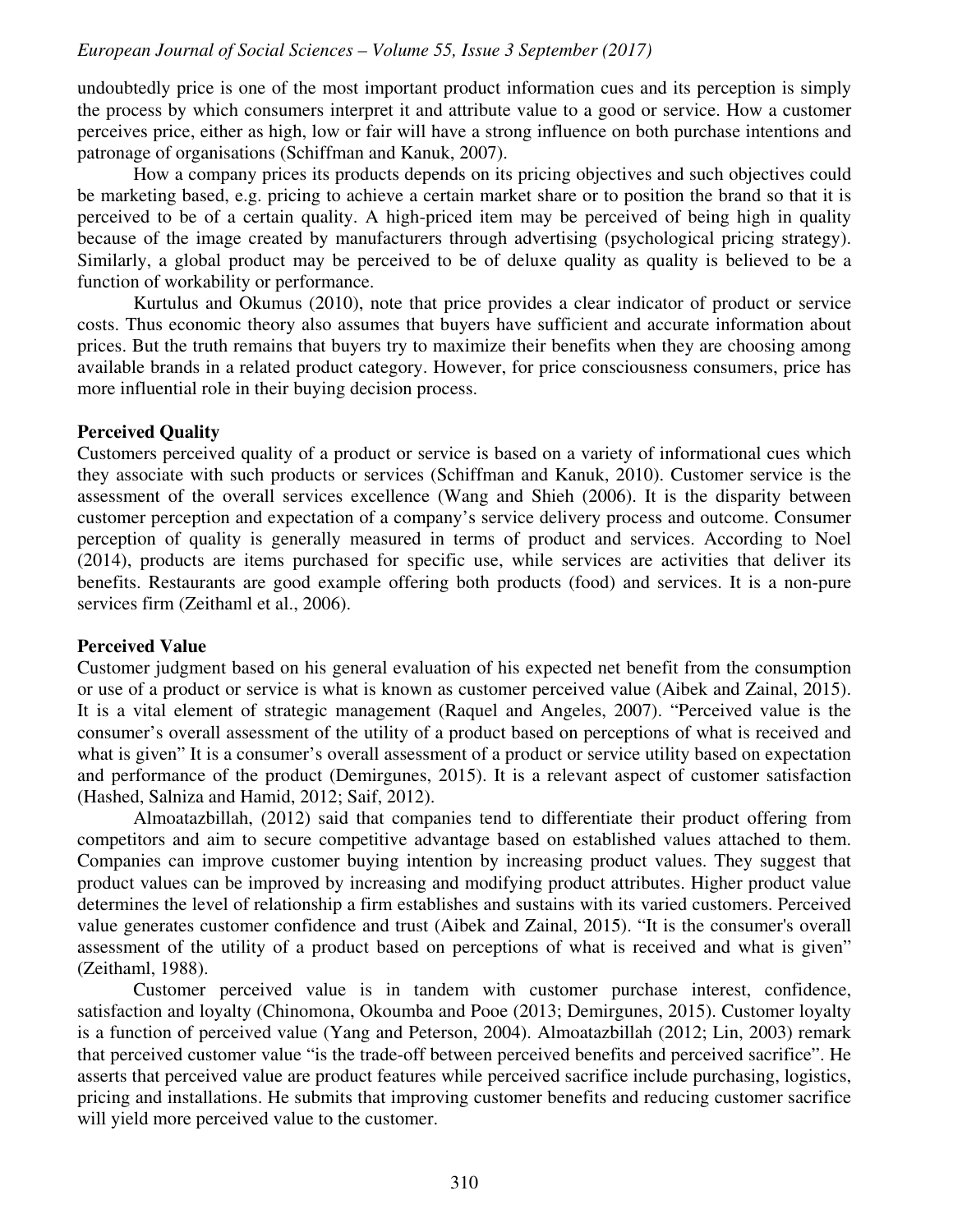undoubtedly price is one of the most important product information cues and its perception is simply the process by which consumers interpret it and attribute value to a good or service. How a customer perceives price, either as high, low or fair will have a strong influence on both purchase intentions and patronage of organisations (Schiffman and Kanuk, 2007).

How a company prices its products depends on its pricing objectives and such objectives could be marketing based, e.g. pricing to achieve a certain market share or to position the brand so that it is perceived to be of a certain quality. A high-priced item may be perceived of being high in quality because of the image created by manufacturers through advertising (psychological pricing strategy). Similarly, a global product may be perceived to be of deluxe quality as quality is believed to be a function of workability or performance.

Kurtulus and Okumus (2010), note that price provides a clear indicator of product or service costs. Thus economic theory also assumes that buyers have sufficient and accurate information about prices. But the truth remains that buyers try to maximize their benefits when they are choosing among available brands in a related product category. However, for price consciousness consumers, price has more influential role in their buying decision process.

#### **Perceived Quality**

Customers perceived quality of a product or service is based on a variety of informational cues which they associate with such products or services (Schiffman and Kanuk, 2010). Customer service is the assessment of the overall services excellence (Wang and Shieh (2006). It is the disparity between customer perception and expectation of a company's service delivery process and outcome. Consumer perception of quality is generally measured in terms of product and services. According to Noel (2014), products are items purchased for specific use, while services are activities that deliver its benefits. Restaurants are good example offering both products (food) and services. It is a non-pure services firm (Zeithaml et al., 2006).

#### **Perceived Value**

Customer judgment based on his general evaluation of his expected net benefit from the consumption or use of a product or service is what is known as customer perceived value (Aibek and Zainal, 2015). It is a vital element of strategic management (Raquel and Angeles, 2007). "Perceived value is the consumer's overall assessment of the utility of a product based on perceptions of what is received and what is given" It is a consumer's overall assessment of a product or service utility based on expectation and performance of the product (Demirgunes, 2015). It is a relevant aspect of customer satisfaction (Hashed, Salniza and Hamid, 2012; Saif, 2012).

Almoatazbillah, (2012) said that companies tend to differentiate their product offering from competitors and aim to secure competitive advantage based on established values attached to them. Companies can improve customer buying intention by increasing product values. They suggest that product values can be improved by increasing and modifying product attributes. Higher product value determines the level of relationship a firm establishes and sustains with its varied customers. Perceived value generates customer confidence and trust (Aibek and Zainal, 2015). "It is the consumer's overall assessment of the utility of a product based on perceptions of what is received and what is given" (Zeithaml, 1988).

Customer perceived value is in tandem with customer purchase interest, confidence, satisfaction and loyalty (Chinomona, Okoumba and Pooe (2013; Demirgunes, 2015). Customer loyalty is a function of perceived value (Yang and Peterson, 2004). Almoatazbillah (2012; Lin, 2003) remark that perceived customer value "is the trade-off between perceived benefits and perceived sacrifice". He asserts that perceived value are product features while perceived sacrifice include purchasing, logistics, pricing and installations. He submits that improving customer benefits and reducing customer sacrifice will yield more perceived value to the customer.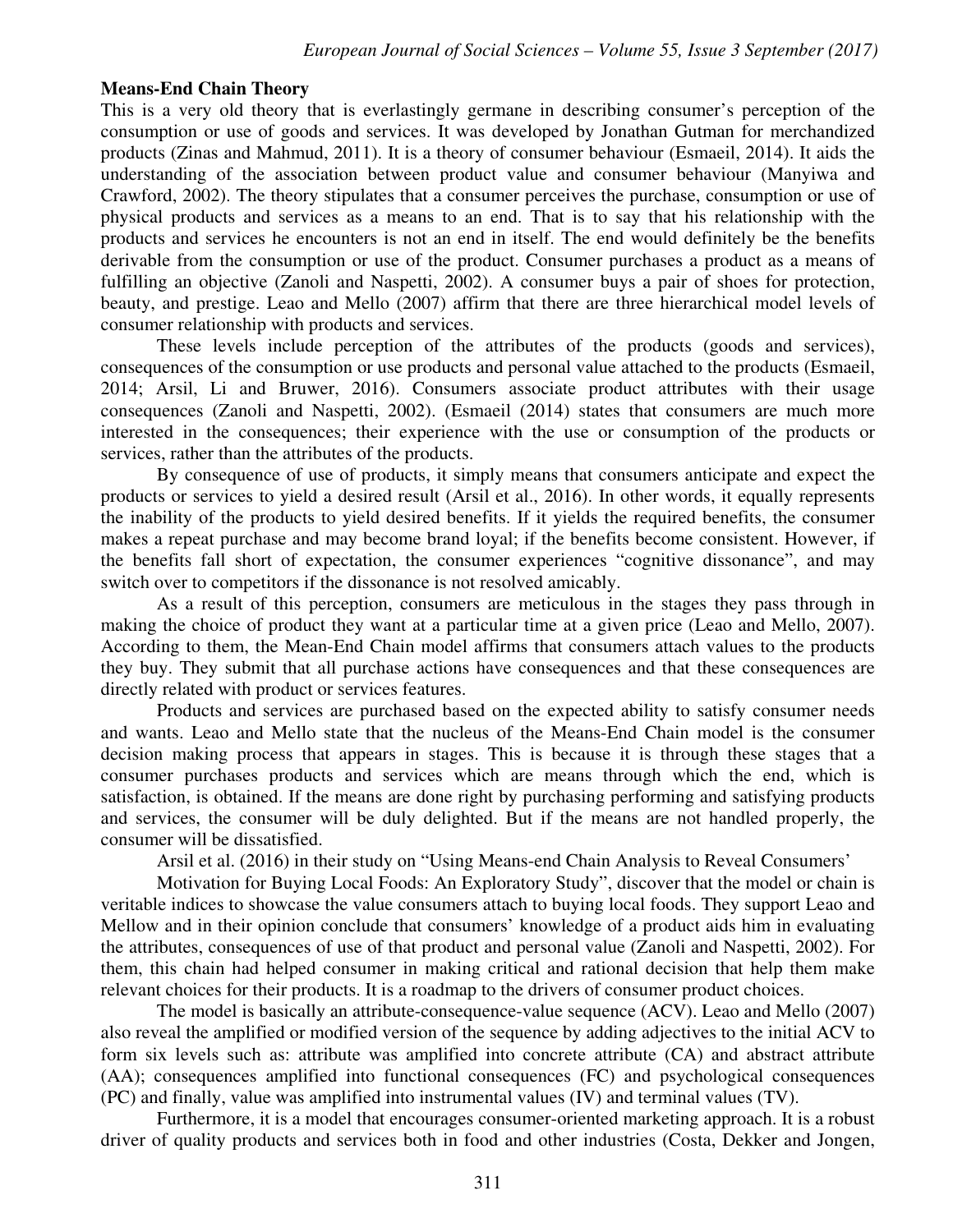#### **Means-End Chain Theory**

This is a very old theory that is everlastingly germane in describing consumer's perception of the consumption or use of goods and services. It was developed by Jonathan Gutman for merchandized products (Zinas and Mahmud, 2011). It is a theory of consumer behaviour (Esmaeil, 2014). It aids the understanding of the association between product value and consumer behaviour (Manyiwa and Crawford, 2002). The theory stipulates that a consumer perceives the purchase, consumption or use of physical products and services as a means to an end. That is to say that his relationship with the products and services he encounters is not an end in itself. The end would definitely be the benefits derivable from the consumption or use of the product. Consumer purchases a product as a means of fulfilling an objective (Zanoli and Naspetti, 2002). A consumer buys a pair of shoes for protection, beauty, and prestige. Leao and Mello (2007) affirm that there are three hierarchical model levels of consumer relationship with products and services.

These levels include perception of the attributes of the products (goods and services), consequences of the consumption or use products and personal value attached to the products (Esmaeil, 2014; Arsil, Li and Bruwer, 2016). Consumers associate product attributes with their usage consequences (Zanoli and Naspetti, 2002). (Esmaeil (2014) states that consumers are much more interested in the consequences; their experience with the use or consumption of the products or services, rather than the attributes of the products.

By consequence of use of products, it simply means that consumers anticipate and expect the products or services to yield a desired result (Arsil et al., 2016). In other words, it equally represents the inability of the products to yield desired benefits. If it yields the required benefits, the consumer makes a repeat purchase and may become brand loyal; if the benefits become consistent. However, if the benefits fall short of expectation, the consumer experiences "cognitive dissonance", and may switch over to competitors if the dissonance is not resolved amicably.

As a result of this perception, consumers are meticulous in the stages they pass through in making the choice of product they want at a particular time at a given price (Leao and Mello, 2007). According to them, the Mean-End Chain model affirms that consumers attach values to the products they buy. They submit that all purchase actions have consequences and that these consequences are directly related with product or services features.

Products and services are purchased based on the expected ability to satisfy consumer needs and wants. Leao and Mello state that the nucleus of the Means-End Chain model is the consumer decision making process that appears in stages. This is because it is through these stages that a consumer purchases products and services which are means through which the end, which is satisfaction, is obtained. If the means are done right by purchasing performing and satisfying products and services, the consumer will be duly delighted. But if the means are not handled properly, the consumer will be dissatisfied.

Arsil et al. (2016) in their study on "Using Means-end Chain Analysis to Reveal Consumers'

Motivation for Buying Local Foods: An Exploratory Study", discover that the model or chain is veritable indices to showcase the value consumers attach to buying local foods. They support Leao and Mellow and in their opinion conclude that consumers' knowledge of a product aids him in evaluating the attributes, consequences of use of that product and personal value (Zanoli and Naspetti, 2002). For them, this chain had helped consumer in making critical and rational decision that help them make relevant choices for their products. It is a roadmap to the drivers of consumer product choices.

The model is basically an attribute-consequence-value sequence (ACV). Leao and Mello (2007) also reveal the amplified or modified version of the sequence by adding adjectives to the initial ACV to form six levels such as: attribute was amplified into concrete attribute (CA) and abstract attribute (AA); consequences amplified into functional consequences (FC) and psychological consequences (PC) and finally, value was amplified into instrumental values (IV) and terminal values (TV).

Furthermore, it is a model that encourages consumer-oriented marketing approach. It is a robust driver of quality products and services both in food and other industries (Costa, Dekker and Jongen,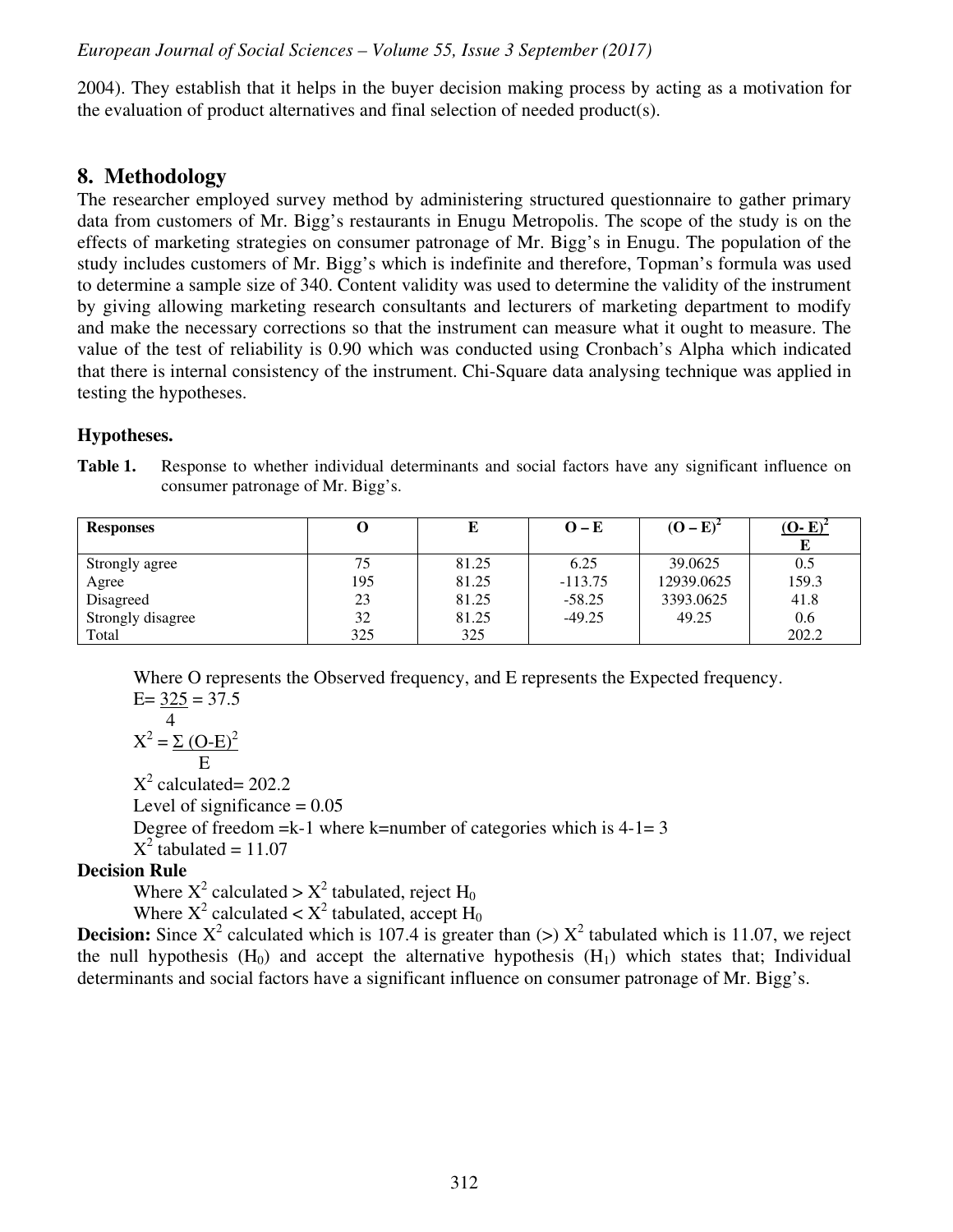2004). They establish that it helps in the buyer decision making process by acting as a motivation for the evaluation of product alternatives and final selection of needed product(s).

# **8. Methodology**

The researcher employed survey method by administering structured questionnaire to gather primary data from customers of Mr. Bigg's restaurants in Enugu Metropolis. The scope of the study is on the effects of marketing strategies on consumer patronage of Mr. Bigg's in Enugu. The population of the study includes customers of Mr. Bigg's which is indefinite and therefore, Topman's formula was used to determine a sample size of 340. Content validity was used to determine the validity of the instrument by giving allowing marketing research consultants and lecturers of marketing department to modify and make the necessary corrections so that the instrument can measure what it ought to measure. The value of the test of reliability is 0.90 which was conducted using Cronbach's Alpha which indicated that there is internal consistency of the instrument. Chi-Square data analysing technique was applied in testing the hypotheses.

# **Hypotheses.**

| Table 1. | Response to whether individual determinants and social factors have any significant influence on |
|----------|--------------------------------------------------------------------------------------------------|
|          | consumer patronage of Mr. Bigg's.                                                                |

| <b>Responses</b>  |     | E     | $O-E$     | $(O - E)^2$ | $(O-E)^2$ |
|-------------------|-----|-------|-----------|-------------|-----------|
|                   |     |       |           |             |           |
| Strongly agree    | 75  | 81.25 | 6.25      | 39.0625     | 0.5       |
| Agree             | 195 | 81.25 | $-113.75$ | 12939.0625  | 159.3     |
| Disagreed         | 23  | 81.25 | $-58.25$  | 3393.0625   | 41.8      |
| Strongly disagree | 32  | 81.25 | $-49.25$  | 49.25       | 0.6       |
| Total             | 325 | 325   |           |             | 202.2     |

Where O represents the Observed frequency, and E represents the Expected frequency.  $E= 325 = 37.5$ 

$$
X^2 = \frac{4}{\sum (O-E)^2}
$$

 $X^2$  calculated= 202.2

Level of significance  $= 0.05$ 

Degree of freedom  $=k-1$  where k=number of categories which is  $4-1=3$ 

 $X^2$  tabulated = 11.07

# **Decision Rule**

Where  $X^2$  calculated >  $X^2$  tabulated, reject H<sub>0</sub>

Where  $X^2$  calculated <  $X^2$  tabulated, accept  $H_0$ 

**Decision:** Since  $X^2$  calculated which is 107.4 is greater than  $(>) X^2$  tabulated which is 11.07, we reject the null hypothesis  $(H_0)$  and accept the alternative hypothesis  $(H_1)$  which states that; Individual determinants and social factors have a significant influence on consumer patronage of Mr. Bigg's.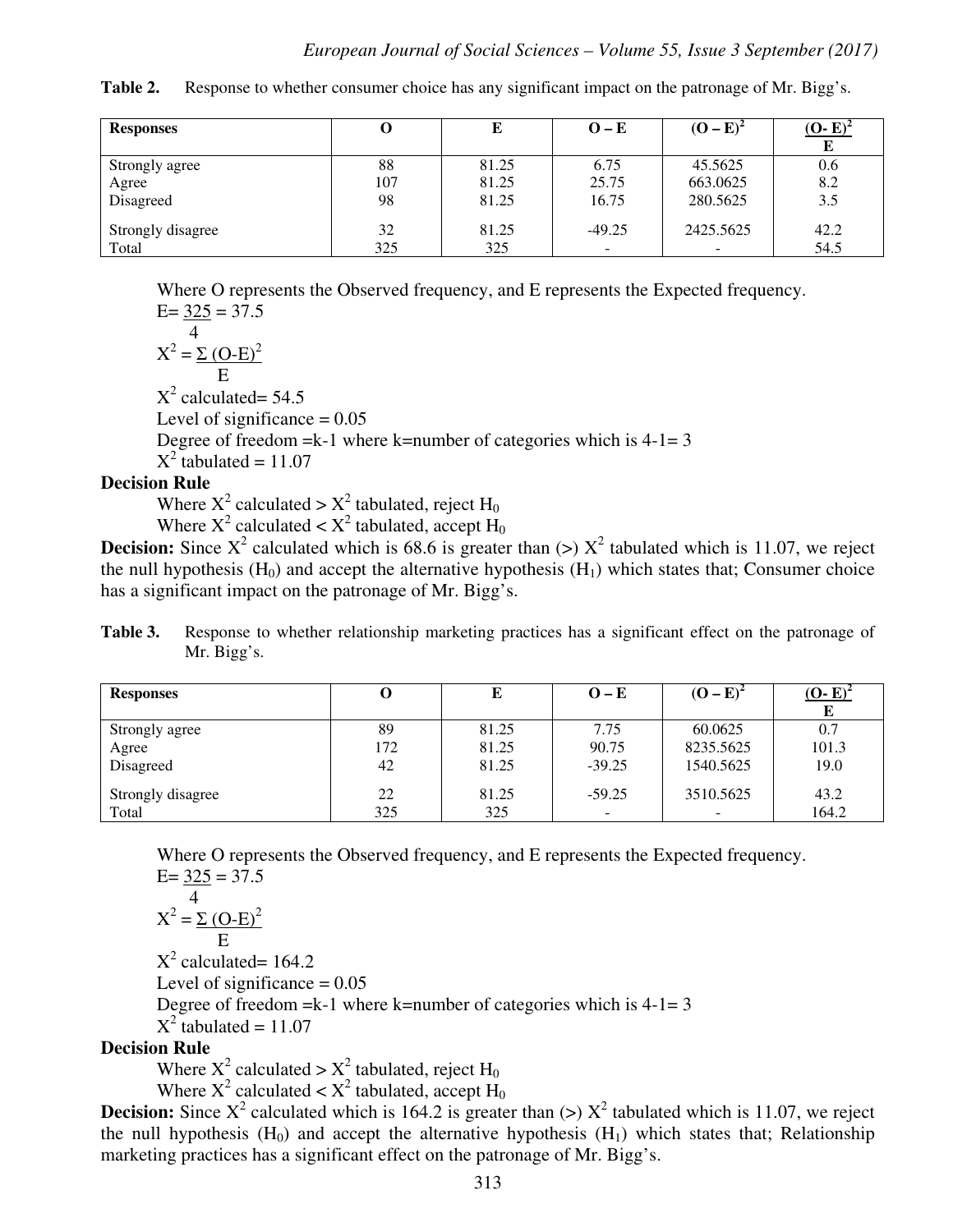**Table 2.** Response to whether consumer choice has any significant impact on the patronage of Mr. Bigg's.

| <b>Responses</b>  |     | L     | $O-E$    | $(O - E)$ | $(O-E)$ |
|-------------------|-----|-------|----------|-----------|---------|
|                   |     |       |          |           |         |
| Strongly agree    | 88  | 81.25 | 6.75     | 45.5625   | 0.6     |
| Agree             | 107 | 81.25 | 25.75    | 663.0625  | 8.2     |
| Disagreed         | 98  | 81.25 | 16.75    | 280.5625  | 3.5     |
| Strongly disagree | 32  | 81.25 | $-49.25$ | 2425.5625 | 42.2    |
| Total             | 325 | 325   | $\sim$   |           | 54.5    |

Where O represents the Observed frequency, and E represents the Expected frequency.  $E= 325 = 37.5$ 

 4  $X^2 = \sum (O-E)^2$  E  $X^2$  calculated= 54.5 Level of significance  $= 0.05$ Degree of freedom  $=k-1$  where k=number of categories which is  $4-1=3$  $X^2$  tabulated = 11.07

### **Decision Rule**

Where  $X^2$  calculated >  $X^2$  tabulated, reject H<sub>0</sub>

Where  $X^2$  calculated <  $X^2$  tabulated, accept  $H_0$ 

**Decision:** Since  $X^2$  calculated which is 68.6 is greater than  $(>) X^2$  tabulated which is 11.07, we reject the null hypothesis  $(H_0)$  and accept the alternative hypothesis  $(H_1)$  which states that; Consumer choice has a significant impact on the patronage of Mr. Bigg's.

**Table 3.** Response to whether relationship marketing practices has a significant effect on the patronage of Mr. Bigg's.

| <b>Responses</b>  | U   | Е     | $O-E$    | $(O - E)^2$ | $(O-E)$ |
|-------------------|-----|-------|----------|-------------|---------|
|                   |     |       |          |             |         |
| Strongly agree    | 89  | 81.25 | 7.75     | 60.0625     | 0.7     |
| Agree             | 172 | 81.25 | 90.75    | 8235.5625   | 101.3   |
| Disagreed         | 42  | 81.25 | $-39.25$ | 1540.5625   | 19.0    |
| Strongly disagree | 22  | 81.25 | $-59.25$ | 3510.5625   | 43.2    |
|                   |     |       |          |             |         |
| Total             | 325 | 325   | -        |             | 164.2   |

Where O represents the Observed frequency, and E represents the Expected frequency.  $E= 325 = 37.5$ 

$$
X^2 = \frac{4}{\text{E}} \frac{(\text{O-E})^2}{\text{E}}
$$

 $X^2$  calculated= 164.2 Level of significance  $= 0.05$ Degree of freedom  $=k-1$  where k=number of categories which is  $4-1=3$  $X^2$  tabulated = 11.07

#### **Decision Rule**

Where  $X^2$  calculated >  $X^2$  tabulated, reject H<sub>0</sub>

Where  $X^2$  calculated <  $X^2$  tabulated, accept  $H_0$ 

**Decision:** Since  $X^2$  calculated which is 164.2 is greater than  $(>) X^2$  tabulated which is 11.07, we reject the null hypothesis  $(H_0)$  and accept the alternative hypothesis  $(H_1)$  which states that; Relationship marketing practices has a significant effect on the patronage of Mr. Bigg's.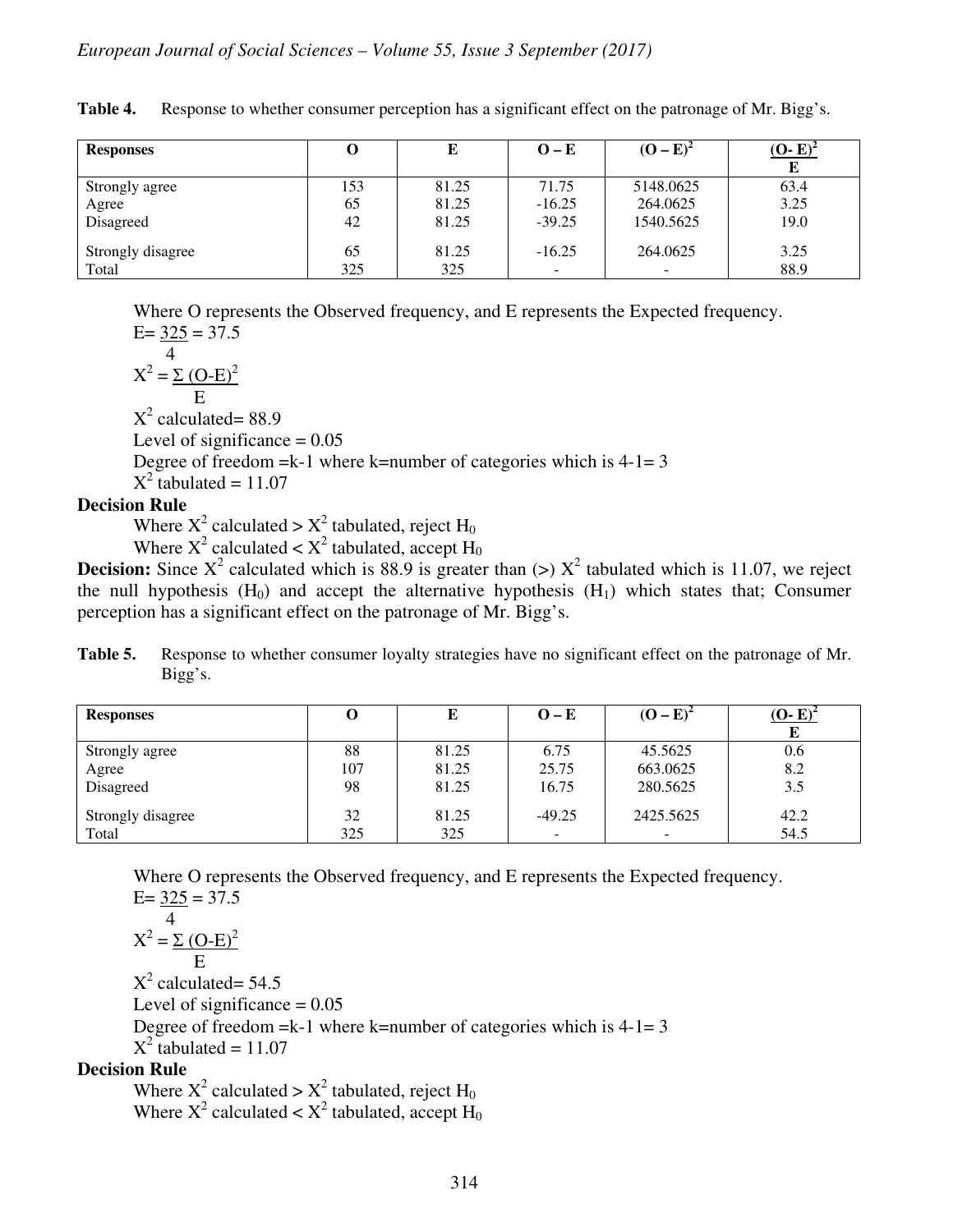| <b>Responses</b>  | O   | E     | $O-E$                    | $(O - E)^2$              | $(O-E)^2$<br>E |
|-------------------|-----|-------|--------------------------|--------------------------|----------------|
| Strongly agree    | 153 | 81.25 | 71.75                    | 5148.0625                | 63.4           |
| Agree             | 65  | 81.25 | $-16.25$                 | 264.0625                 | 3.25           |
| Disagreed         | 42  | 81.25 | $-39.25$                 | 1540.5625                | 19.0           |
| Strongly disagree | 65  | 81.25 | $-16.25$                 | 264.0625                 | 3.25           |
| Total             | 325 | 325   | $\overline{\phantom{0}}$ | $\overline{\phantom{0}}$ | 88.9           |

**Table 4.** Response to whether consumer perception has a significant effect on the patronage of Mr. Bigg's.

Where O represents the Observed frequency, and E represents the Expected frequency.

 $E = 325 = 37.5$  4  $X^2 = \Sigma (O-E)^2$ E

 $X^2$  calculated= 88.9

Level of significance  $= 0.05$ 

Degree of freedom  $=k-1$  where k=number of categories which is  $4-1=3$ 

 $X^2$  tabulated = 11.07

#### **Decision Rule**

Where  $X^2$  calculated >  $X^2$  tabulated, reject H<sub>0</sub>

Where  $X^2$  calculated <  $X^2$  tabulated, accept  $H_0$ 

**Decision:** Since  $X^2$  calculated which is 88.9 is greater than  $(>) X^2$  tabulated which is 11.07, we reject the null hypothesis  $(H_0)$  and accept the alternative hypothesis  $(H_1)$  which states that; Consumer perception has a significant effect on the patronage of Mr. Bigg's.

**Table 5.** Response to whether consumer loyalty strategies have no significant effect on the patronage of Mr. Bigg's.

| <b>Responses</b>  | O   | L.    | $O-E$                    | $(O - E)^2$              | $(O-E)^2$ |
|-------------------|-----|-------|--------------------------|--------------------------|-----------|
|                   |     |       |                          |                          |           |
| Strongly agree    | 88  | 81.25 | 6.75                     | 45.5625                  | 0.6       |
| Agree             | 107 | 81.25 | 25.75                    | 663.0625                 | 8.2       |
| Disagreed         | 98  | 81.25 | 16.75                    | 280.5625                 | 3.5       |
| Strongly disagree | 32  | 81.25 | $-49.25$                 | 2425.5625                | 42.2      |
| Total             | 325 | 325   | $\overline{\phantom{0}}$ | $\overline{\phantom{0}}$ | 54.5      |

Where O represents the Observed frequency, and E represents the Expected frequency.

 $E= 325 = 37.5$  4  $X^2 = \Sigma (O-E)^2$  E  $X^2$  calculated= 54.5 Level of significance  $= 0.05$ Degree of freedom  $=k-1$  where k=number of categories which is  $4-1=3$  $X^2$  tabulated = 11.07 **Decision Rule** 

Where  $X^2$  calculated >  $X^2$  tabulated, reject H<sub>0</sub> Where  $X^2$  calculated <  $X^2$  tabulated, accept  $H_0$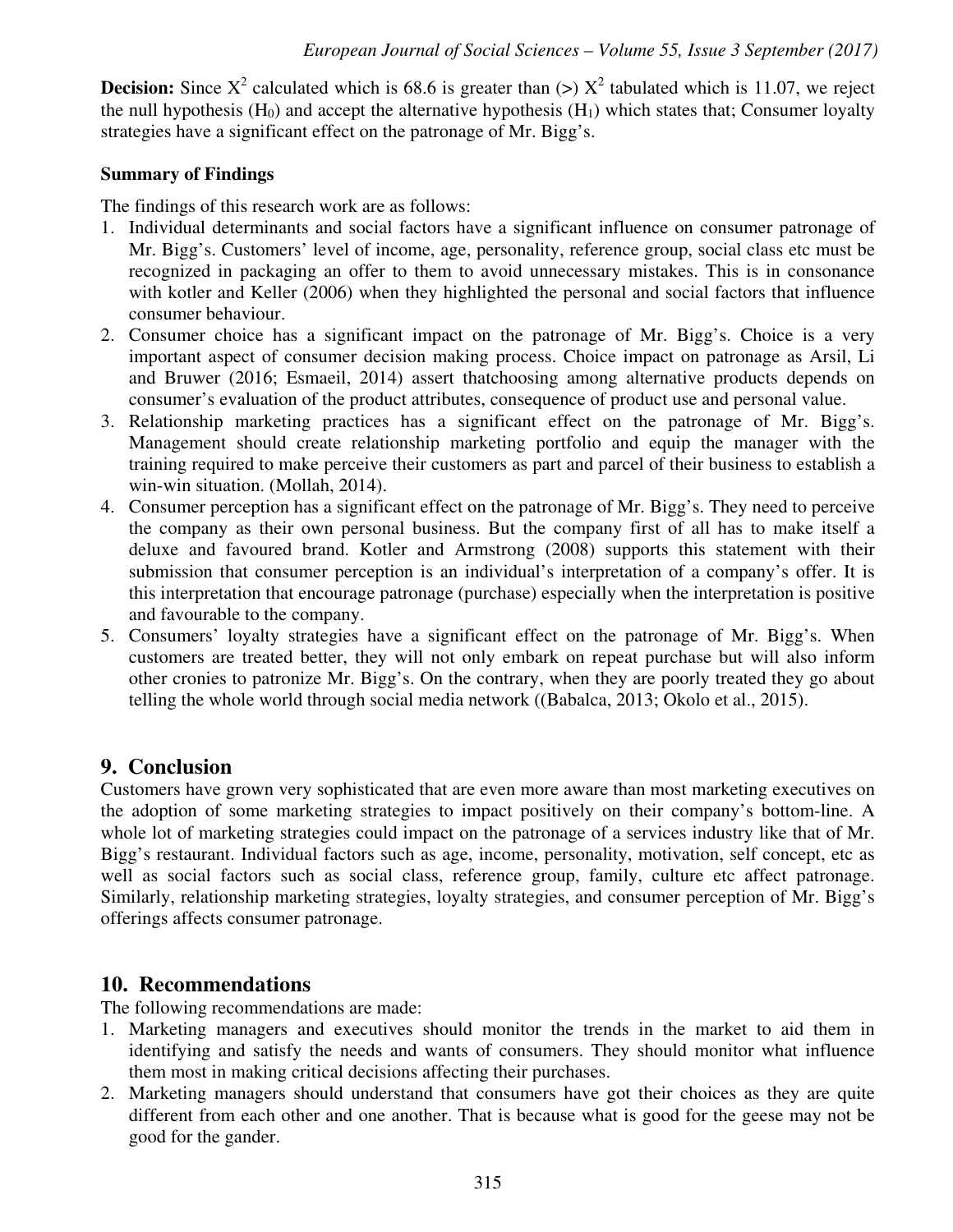**Decision:** Since  $X^2$  calculated which is 68.6 is greater than  $(>) X^2$  tabulated which is 11.07, we reject the null hypothesis  $(H_0)$  and accept the alternative hypothesis  $(H_1)$  which states that; Consumer loyalty strategies have a significant effect on the patronage of Mr. Bigg's.

#### **Summary of Findings**

The findings of this research work are as follows:

- 1. Individual determinants and social factors have a significant influence on consumer patronage of Mr. Bigg's. Customers' level of income, age, personality, reference group, social class etc must be recognized in packaging an offer to them to avoid unnecessary mistakes. This is in consonance with kotler and Keller (2006) when they highlighted the personal and social factors that influence consumer behaviour.
- 2. Consumer choice has a significant impact on the patronage of Mr. Bigg's. Choice is a very important aspect of consumer decision making process. Choice impact on patronage as Arsil, Li and Bruwer (2016; Esmaeil, 2014) assert thatchoosing among alternative products depends on consumer's evaluation of the product attributes, consequence of product use and personal value.
- 3. Relationship marketing practices has a significant effect on the patronage of Mr. Bigg's. Management should create relationship marketing portfolio and equip the manager with the training required to make perceive their customers as part and parcel of their business to establish a win-win situation. (Mollah, 2014).
- 4. Consumer perception has a significant effect on the patronage of Mr. Bigg's. They need to perceive the company as their own personal business. But the company first of all has to make itself a deluxe and favoured brand. Kotler and Armstrong (2008) supports this statement with their submission that consumer perception is an individual's interpretation of a company's offer. It is this interpretation that encourage patronage (purchase) especially when the interpretation is positive and favourable to the company.
- 5. Consumers' loyalty strategies have a significant effect on the patronage of Mr. Bigg's. When customers are treated better, they will not only embark on repeat purchase but will also inform other cronies to patronize Mr. Bigg's. On the contrary, when they are poorly treated they go about telling the whole world through social media network ((Babalca, 2013; Okolo et al., 2015).

# **9. Conclusion**

Customers have grown very sophisticated that are even more aware than most marketing executives on the adoption of some marketing strategies to impact positively on their company's bottom-line. A whole lot of marketing strategies could impact on the patronage of a services industry like that of Mr. Bigg's restaurant. Individual factors such as age, income, personality, motivation, self concept, etc as well as social factors such as social class, reference group, family, culture etc affect patronage. Similarly, relationship marketing strategies, loyalty strategies, and consumer perception of Mr. Bigg's offerings affects consumer patronage.

#### **10. Recommendations**

The following recommendations are made:

- 1. Marketing managers and executives should monitor the trends in the market to aid them in identifying and satisfy the needs and wants of consumers. They should monitor what influence them most in making critical decisions affecting their purchases.
- 2. Marketing managers should understand that consumers have got their choices as they are quite different from each other and one another. That is because what is good for the geese may not be good for the gander.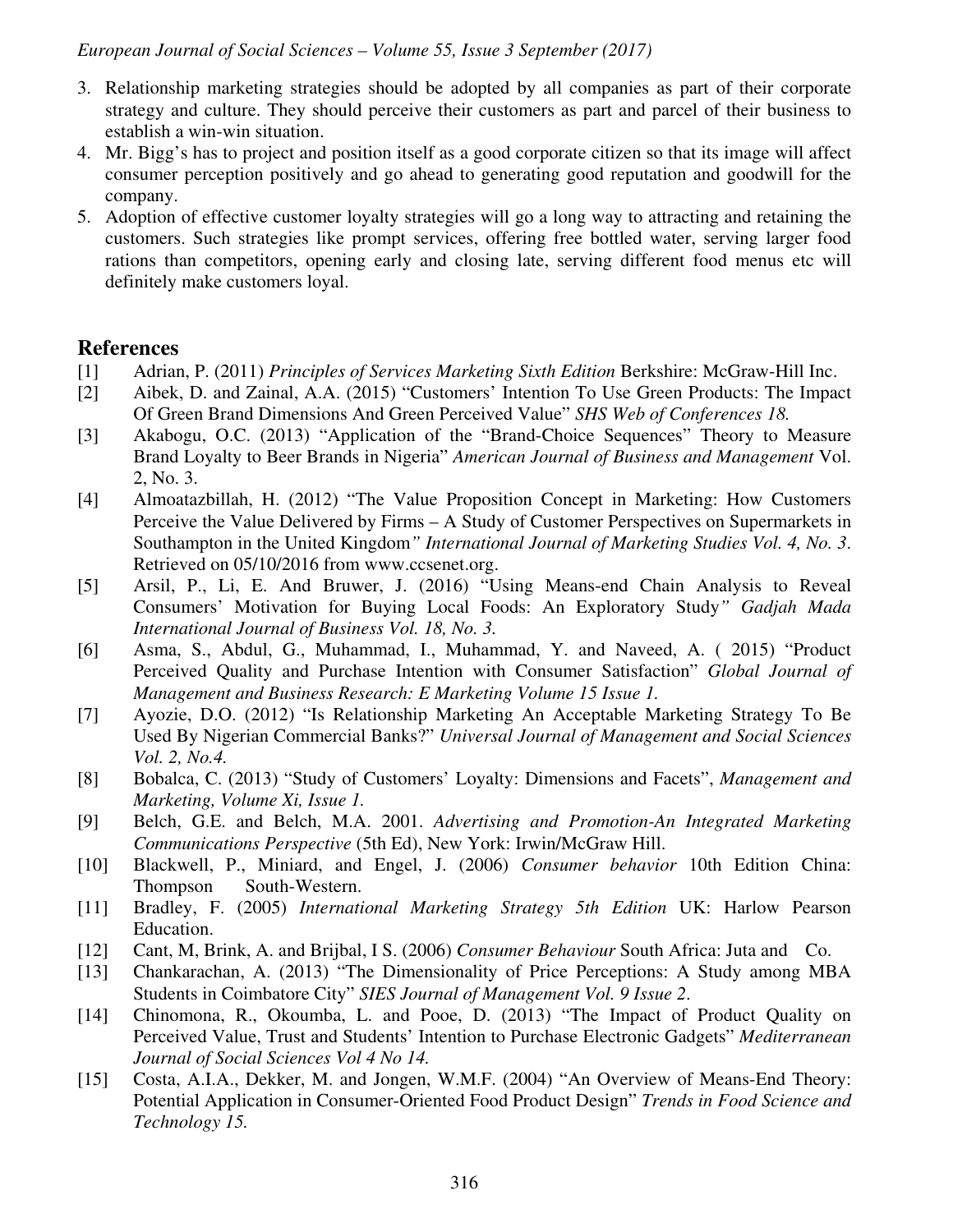- 3. Relationship marketing strategies should be adopted by all companies as part of their corporate strategy and culture. They should perceive their customers as part and parcel of their business to establish a win-win situation.
- 4. Mr. Bigg's has to project and position itself as a good corporate citizen so that its image will affect consumer perception positively and go ahead to generating good reputation and goodwill for the company.
- 5. Adoption of effective customer loyalty strategies will go a long way to attracting and retaining the customers. Such strategies like prompt services, offering free bottled water, serving larger food rations than competitors, opening early and closing late, serving different food menus etc will definitely make customers loyal.

# **References**

- [1] Adrian, P. (2011) *Principles of Services Marketing Sixth Edition* Berkshire: McGraw-Hill Inc.
- [2] Aibek, D. and Zainal, A.A. (2015) "Customers' Intention To Use Green Products: The Impact Of Green Brand Dimensions And Green Perceived Value" *SHS Web of Conferences 18.*
- [3] Akabogu, O.C. (2013) "Application of the "Brand-Choice Sequences" Theory to Measure Brand Loyalty to Beer Brands in Nigeria" *American Journal of Business and Management* Vol. 2, No. 3.
- [4] Almoatazbillah, H. (2012) "The Value Proposition Concept in Marketing: How Customers Perceive the Value Delivered by Firms – A Study of Customer Perspectives on Supermarkets in Southampton in the United Kingdom*" International Journal of Marketing Studies Vol. 4, No. 3*. Retrieved on 05/10/2016 from www.ccsenet.org.
- [5] Arsil, P., Li, E. And Bruwer, J. (2016) "Using Means-end Chain Analysis to Reveal Consumers' Motivation for Buying Local Foods: An Exploratory Study*" Gadjah Mada International Journal of Business Vol. 18, No. 3.*
- [6] Asma, S., Abdul, G., Muhammad, I., Muhammad, Y. and Naveed, A. ( 2015) "Product Perceived Quality and Purchase Intention with Consumer Satisfaction" *Global Journal of Management and Business Research: E Marketing Volume 15 Issue 1.*
- [7] Ayozie, D.O. (2012) "Is Relationship Marketing An Acceptable Marketing Strategy To Be Used By Nigerian Commercial Banks?" *Universal Journal of Management and Social Sciences Vol. 2, No.4.*
- [8] Bobalca, C. (2013) "Study of Customers' Loyalty: Dimensions and Facets", *Management and Marketing, Volume Xi, Issue 1.*
- [9] Belch, G.E. and Belch, M.A. 2001. *Advertising and Promotion-An Integrated Marketing Communications Perspective* (5th Ed), New York: Irwin/McGraw Hill.
- [10] Blackwell, P., Miniard, and Engel, J. (2006) *Consumer behavior* 10th Edition China: Thompson South-Western.
- [11] Bradley, F. (2005) *International Marketing Strategy 5th Edition* UK: Harlow Pearson Education.
- [12] Cant, M, Brink, A. and Brijbal, I S. (2006) *Consumer Behaviour* South Africa: Juta and Co.
- [13] Chankarachan, A. (2013) "The Dimensionality of Price Perceptions: A Study among MBA Students in Coimbatore City" *SIES Journal of Management Vol. 9 Issue 2*.
- [14] Chinomona, R., Okoumba, L. and Pooe, D. (2013) "The Impact of Product Quality on Perceived Value, Trust and Students' Intention to Purchase Electronic Gadgets" *Mediterranean Journal of Social Sciences Vol 4 No 14.*
- [15] Costa, A.I.A., Dekker, M. and Jongen, W.M.F. (2004) "An Overview of Means-End Theory: Potential Application in Consumer-Oriented Food Product Design" *Trends in Food Science and Technology 15.*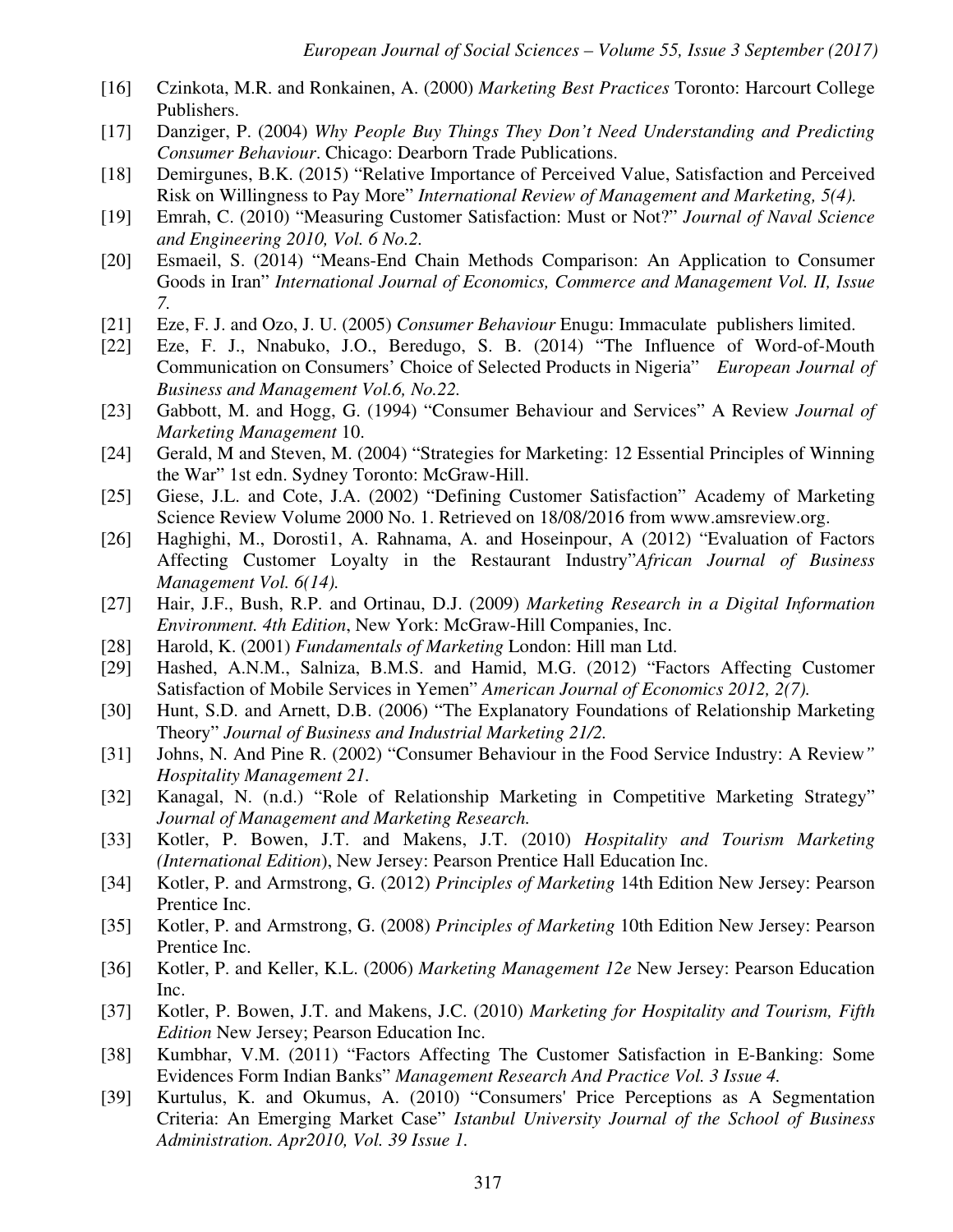- [16] Czinkota, M.R. and Ronkainen, A. (2000) *Marketing Best Practices* Toronto: Harcourt College Publishers.
- [17] Danziger, P. (2004) *Why People Buy Things They Don't Need Understanding and Predicting Consumer Behaviour*. Chicago: Dearborn Trade Publications.
- [18] Demirgunes, B.K. (2015) "Relative Importance of Perceived Value, Satisfaction and Perceived Risk on Willingness to Pay More" *International Review of Management and Marketing, 5(4).*
- [19] Emrah, C. (2010) "Measuring Customer Satisfaction: Must or Not?" *Journal of Naval Science and Engineering 2010, Vol. 6 No.2.*
- [20] Esmaeil, S. (2014) "Means-End Chain Methods Comparison: An Application to Consumer Goods in Iran" *International Journal of Economics, Commerce and Management Vol. II, Issue 7.*
- [21] Eze, F. J. and Ozo, J. U. (2005) *Consumer Behaviour* Enugu: Immaculate publishers limited.
- [22] Eze, F. J., Nnabuko, J.O., Beredugo, S. B. (2014) "The Influence of Word-of-Mouth Communication on Consumers' Choice of Selected Products in Nigeria" *European Journal of Business and Management Vol.6, No.22.*
- [23] Gabbott, M. and Hogg, G. (1994) "Consumer Behaviour and Services" A Review *Journal of Marketing Management* 10.
- [24] Gerald, M and Steven, M. (2004) "Strategies for Marketing: 12 Essential Principles of Winning the War" 1st edn. Sydney Toronto: McGraw-Hill.
- [25] Giese, J.L. and Cote, J.A. (2002) "Defining Customer Satisfaction" Academy of Marketing Science Review Volume 2000 No. 1. Retrieved on 18/08/2016 from www.amsreview.org.
- [26] Haghighi, M., Dorosti1, A. Rahnama, A. and Hoseinpour, A (2012) "Evaluation of Factors Affecting Customer Loyalty in the Restaurant Industry"*African Journal of Business Management Vol. 6(14).*
- [27] Hair, J.F., Bush, R.P. and Ortinau, D.J. (2009) *Marketing Research in a Digital Information Environment. 4th Edition*, New York: McGraw-Hill Companies, Inc.
- [28] Harold, K. (2001) *Fundamentals of Marketing* London: Hill man Ltd.
- [29] Hashed, A.N.M., Salniza, B.M.S. and Hamid, M.G. (2012) "Factors Affecting Customer Satisfaction of Mobile Services in Yemen" *American Journal of Economics 2012, 2(7).*
- [30] Hunt, S.D. and Arnett, D.B. (2006) "The Explanatory Foundations of Relationship Marketing Theory" *Journal of Business and Industrial Marketing 21/2.*
- [31] Johns, N. And Pine R. (2002) "Consumer Behaviour in the Food Service Industry: A Review*" Hospitality Management 21.*
- [32] Kanagal, N. (n.d.) "Role of Relationship Marketing in Competitive Marketing Strategy" *Journal of Management and Marketing Research.*
- [33] Kotler, P. Bowen, J.T. and Makens, J.T. (2010) *Hospitality and Tourism Marketing (International Edition*), New Jersey: Pearson Prentice Hall Education Inc.
- [34] Kotler, P. and Armstrong, G. (2012) *Principles of Marketing* 14th Edition New Jersey: Pearson Prentice Inc.
- [35] Kotler, P. and Armstrong, G. (2008) *Principles of Marketing* 10th Edition New Jersey: Pearson Prentice Inc.
- [36] Kotler, P. and Keller, K.L. (2006) *Marketing Management 12e* New Jersey: Pearson Education Inc.
- [37] Kotler, P. Bowen, J.T. and Makens, J.C. (2010) *Marketing for Hospitality and Tourism, Fifth Edition* New Jersey; Pearson Education Inc.
- [38] Kumbhar, V.M. (2011) "Factors Affecting The Customer Satisfaction in E-Banking: Some Evidences Form Indian Banks" *Management Research And Practice Vol. 3 Issue 4.*
- [39] Kurtulus, K. and Okumus, A. (2010) "Consumers' Price Perceptions as A Segmentation Criteria: An Emerging Market Case" *Istanbul University Journal of the School of Business Administration. Apr2010, Vol. 39 Issue 1.*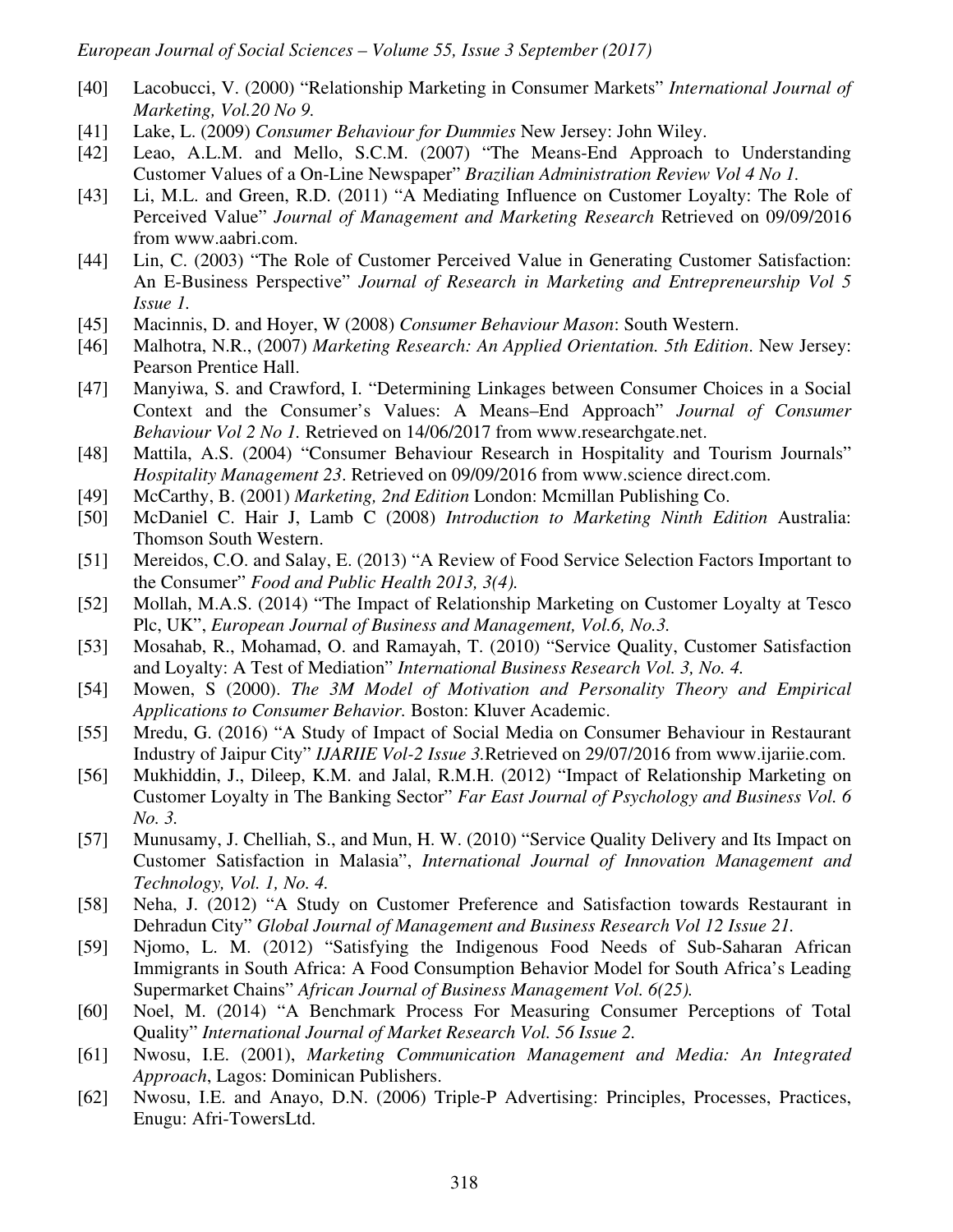- [40] Lacobucci, V. (2000) "Relationship Marketing in Consumer Markets" *International Journal of Marketing, Vol.20 No 9.*
- [41] Lake, L. (2009) *Consumer Behaviour for Dummies* New Jersey: John Wiley.
- [42] Leao, A.L.M. and Mello, S.C.M. (2007) "The Means-End Approach to Understanding Customer Values of a On-Line Newspaper" *Brazilian Administration Review Vol 4 No 1.*
- [43] Li, M.L. and Green, R.D. (2011) "A Mediating Influence on Customer Loyalty: The Role of Perceived Value" *Journal of Management and Marketing Research* Retrieved on 09/09/2016 from www.aabri.com.
- [44] Lin, C. (2003) "The Role of Customer Perceived Value in Generating Customer Satisfaction: An E-Business Perspective" *Journal of Research in Marketing and Entrepreneurship Vol 5 Issue 1.*
- [45] Macinnis, D. and Hoyer, W (2008) *Consumer Behaviour Mason*: South Western.
- [46] Malhotra, N.R., (2007) *Marketing Research: An Applied Orientation. 5th Edition*. New Jersey: Pearson Prentice Hall.
- [47] Manyiwa, S. and Crawford, I. "Determining Linkages between Consumer Choices in a Social Context and the Consumer's Values: A Means–End Approach" *Journal of Consumer Behaviour Vol 2 No 1.* Retrieved on 14/06/2017 from www.researchgate.net.
- [48] Mattila, A.S. (2004) "Consumer Behaviour Research in Hospitality and Tourism Journals" *Hospitality Management 23*. Retrieved on 09/09/2016 from www.science direct.com.
- [49] McCarthy, B. (2001) *Marketing, 2nd Edition* London: Mcmillan Publishing Co.
- [50] McDaniel C. Hair J, Lamb C (2008) *Introduction to Marketing Ninth Edition* Australia: Thomson South Western.
- [51] Mereidos, C.O. and Salay, E. (2013) "A Review of Food Service Selection Factors Important to the Consumer" *Food and Public Health 2013, 3(4).*
- [52] Mollah, M.A.S. (2014) "The Impact of Relationship Marketing on Customer Loyalty at Tesco Plc, UK", *European Journal of Business and Management, Vol.6, No.3.*
- [53] Mosahab, R., Mohamad, O. and Ramayah, T. (2010) "Service Quality, Customer Satisfaction and Loyalty: A Test of Mediation" *International Business Research Vol. 3, No. 4.*
- [54] Mowen, S (2000). *The 3M Model of Motivation and Personality Theory and Empirical Applications to Consumer Behavior.* Boston: Kluver Academic.
- [55] Mredu, G. (2016) "A Study of Impact of Social Media on Consumer Behaviour in Restaurant Industry of Jaipur City" *IJARIIE Vol-2 Issue 3.*Retrieved on 29/07/2016 from www.ijariie.com.
- [56] Mukhiddin, J., Dileep, K.M. and Jalal, R.M.H. (2012) "Impact of Relationship Marketing on Customer Loyalty in The Banking Sector" *Far East Journal of Psychology and Business Vol. 6 No. 3.*
- [57] Munusamy, J. Chelliah, S., and Mun, H. W. (2010) "Service Quality Delivery and Its Impact on Customer Satisfaction in Malasia", *International Journal of Innovation Management and Technology, Vol. 1, No. 4.*
- [58] Neha, J. (2012) "A Study on Customer Preference and Satisfaction towards Restaurant in Dehradun City" *Global Journal of Management and Business Research Vol 12 Issue 21.*
- [59] Njomo, L. M. (2012) "Satisfying the Indigenous Food Needs of Sub-Saharan African Immigrants in South Africa: A Food Consumption Behavior Model for South Africa's Leading Supermarket Chains" *African Journal of Business Management Vol. 6(25).*
- [60] Noel, M. (2014) "A Benchmark Process For Measuring Consumer Perceptions of Total Quality" *International Journal of Market Research Vol. 56 Issue 2.*
- [61] Nwosu, I.E. (2001), *Marketing Communication Management and Media: An Integrated Approach*, Lagos: Dominican Publishers.
- [62] Nwosu, I.E. and Anayo, D.N. (2006) Triple-P Advertising: Principles, Processes, Practices, Enugu: Afri-TowersLtd.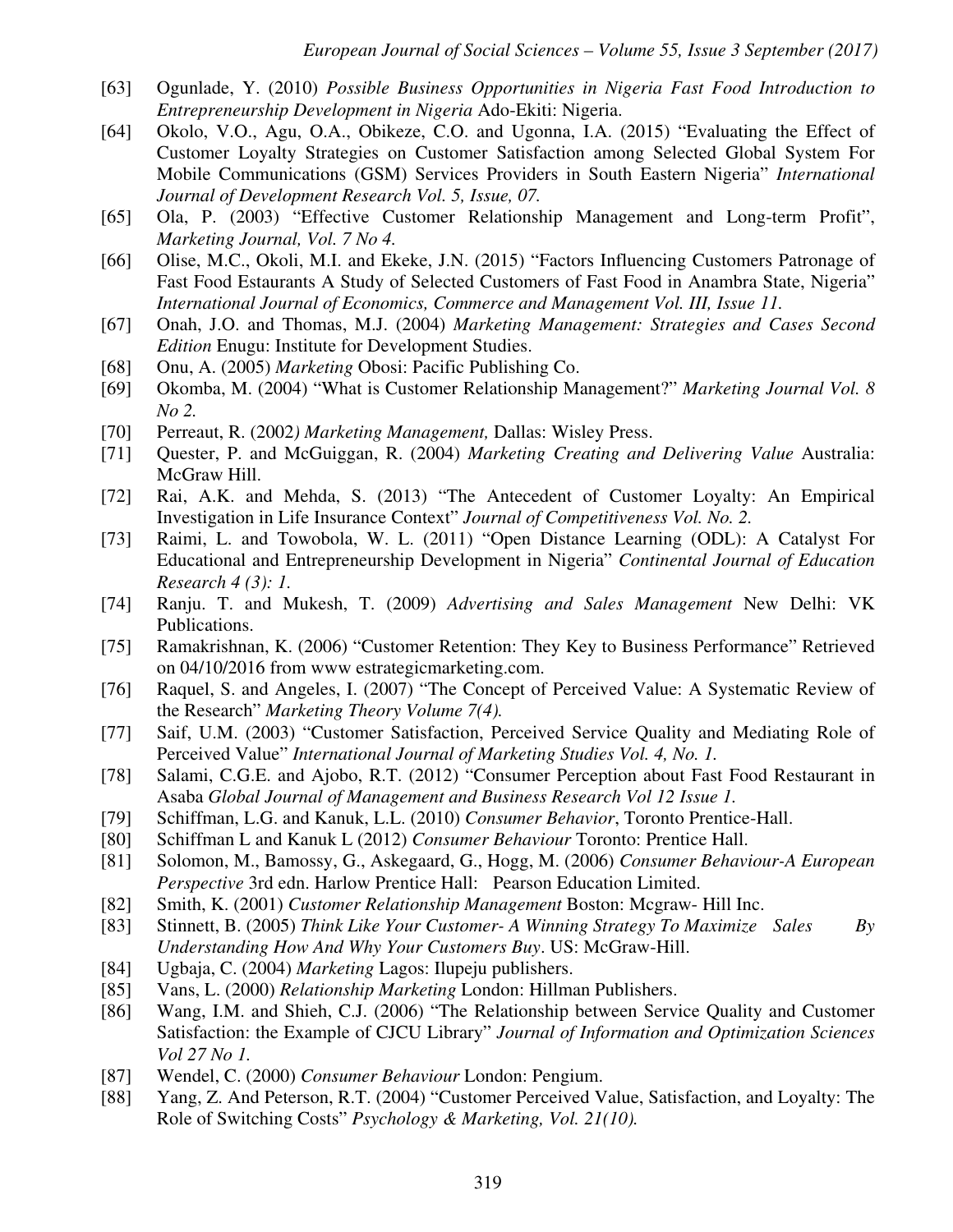- [63] Ogunlade, Y. (2010) *Possible Business Opportunities in Nigeria Fast Food Introduction to Entrepreneurship Development in Nigeria* Ado-Ekiti: Nigeria.
- [64] Okolo, V.O., Agu, O.A., Obikeze, C.O. and Ugonna, I.A. (2015) "Evaluating the Effect of Customer Loyalty Strategies on Customer Satisfaction among Selected Global System For Mobile Communications (GSM) Services Providers in South Eastern Nigeria" *International Journal of Development Research Vol. 5, Issue, 07.*
- [65] Ola, P. (2003) "Effective Customer Relationship Management and Long-term Profit", *Marketing Journal, Vol. 7 No 4.*
- [66] Olise, M.C., Okoli, M.I. and Ekeke, J.N. (2015) "Factors Influencing Customers Patronage of Fast Food Estaurants A Study of Selected Customers of Fast Food in Anambra State, Nigeria" *International Journal of Economics, Commerce and Management Vol. III, Issue 11.*
- [67] Onah, J.O. and Thomas, M.J. (2004) *Marketing Management: Strategies and Cases Second Edition* Enugu: Institute for Development Studies.
- [68] Onu, A. (2005) *Marketing* Obosi: Pacific Publishing Co.
- [69] Okomba, M. (2004) "What is Customer Relationship Management?" *Marketing Journal Vol. 8 No 2.*
- [70] Perreaut, R. (2002*) Marketing Management,* Dallas: Wisley Press.
- [71] Quester, P. and McGuiggan, R. (2004) *Marketing Creating and Delivering Value* Australia: McGraw Hill.
- [72] Rai, A.K. and Mehda, S. (2013) "The Antecedent of Customer Loyalty: An Empirical Investigation in Life Insurance Context" *Journal of Competitiveness Vol. No. 2.*
- [73] Raimi, L. and Towobola, W. L. (2011) "Open Distance Learning (ODL): A Catalyst For Educational and Entrepreneurship Development in Nigeria" *Continental Journal of Education Research 4 (3): 1.*
- [74] Ranju. T. and Mukesh, T. (2009) *Advertising and Sales Management* New Delhi: VK Publications.
- [75] Ramakrishnan, K. (2006) "Customer Retention: They Key to Business Performance" Retrieved on 04/10/2016 from www estrategicmarketing.com.
- [76] Raquel, S. and Angeles, I. (2007) "The Concept of Perceived Value: A Systematic Review of the Research" *Marketing Theory Volume 7(4).*
- [77] Saif, U.M. (2003) "Customer Satisfaction, Perceived Service Quality and Mediating Role of Perceived Value" *International Journal of Marketing Studies Vol. 4, No. 1.*
- [78] Salami, C.G.E. and Ajobo, R.T. (2012) "Consumer Perception about Fast Food Restaurant in Asaba *Global Journal of Management and Business Research Vol 12 Issue 1.*
- [79] Schiffman, L.G. and Kanuk, L.L. (2010) *Consumer Behavior*, Toronto Prentice-Hall.
- [80] Schiffman L and Kanuk L (2012) *Consumer Behaviour* Toronto: Prentice Hall.
- [81] Solomon, M., Bamossy, G., Askegaard, G., Hogg, M. (2006) *Consumer Behaviour-A European Perspective* 3rd edn. Harlow Prentice Hall: Pearson Education Limited.
- [82] Smith, K. (2001) *Customer Relationship Management* Boston: Mcgraw- Hill Inc.
- [83] Stinnett, B. (2005) *Think Like Your Customer- A Winning Strategy To Maximize Sales By Understanding How And Why Your Customers Buy*. US: McGraw-Hill.
- [84] Ugbaja, C. (2004) *Marketing* Lagos: Ilupeju publishers.
- [85] Vans, L. (2000) *Relationship Marketing* London: Hillman Publishers.
- [86] Wang, I.M. and Shieh, C.J. (2006) "The Relationship between Service Quality and Customer Satisfaction: the Example of CJCU Library" *Journal of Information and Optimization Sciences Vol 27 No 1.*
- [87] Wendel, C. (2000) *Consumer Behaviour* London: Pengium.
- [88] Yang, Z. And Peterson, R.T. (2004) "Customer Perceived Value, Satisfaction, and Loyalty: The Role of Switching Costs" *Psychology & Marketing, Vol. 21(10).*